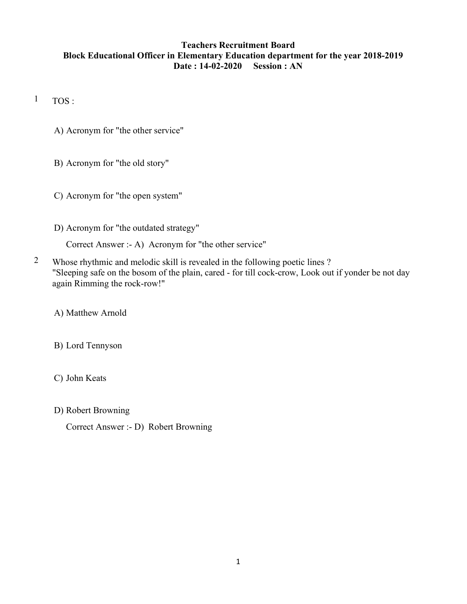### Teachers Recruitment Board Block Educational Officer in Elementary Education department for the year 2018-2019 Date : 14-02-2020 Session : AN

 $1$  TOS:

- A) Acronym for "the other service"
- B) Acronym for "the old story"
- C) Acronym for "the open system"
- D) Acronym for "the outdated strategy"

Correct Answer :- A) Acronym for "the other service"

2 Whose rhythmic and melodic skill is revealed in the following poetic lines ? "Sleeping safe on the bosom of the plain, cared - for till cock-crow, Look out if yonder be not day again Rimming the rock-row!"

A) Matthew Arnold

B) Lord Tennyson

C) John Keats

D) Robert Browning

Correct Answer :- D) Robert Browning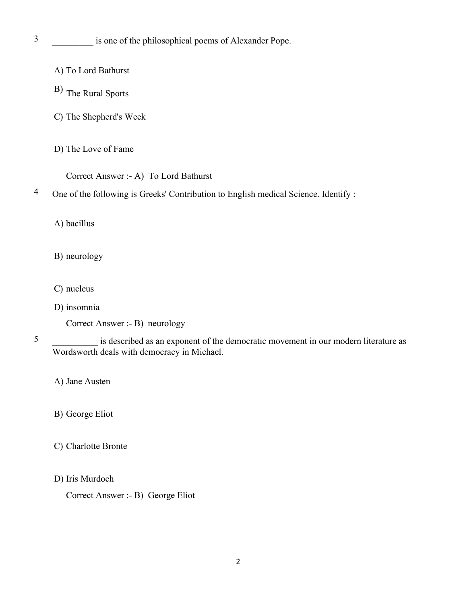- A) To Lord Bathurst
- B) The Rural Sports
- C) The Shepherd's Week
- D) The Love of Fame
	- Correct Answer :- A) To Lord Bathurst

## 4 One of the following is Greeks' Contribution to English medical Science. Identify :

A) bacillus

- B) neurology
- C) nucleus
- D) insomnia

Correct Answer :- B) neurology

- C) Charlotte Bronte
- D) Iris Murdoch

Correct Answer :- B) George Eliot

<sup>5</sup> \_\_\_\_\_\_\_\_\_\_ is described as an exponent of the democratic movement in our modern literature as Wordsworth deals with democracy in Michael.

A) Jane Austen

B) George Eliot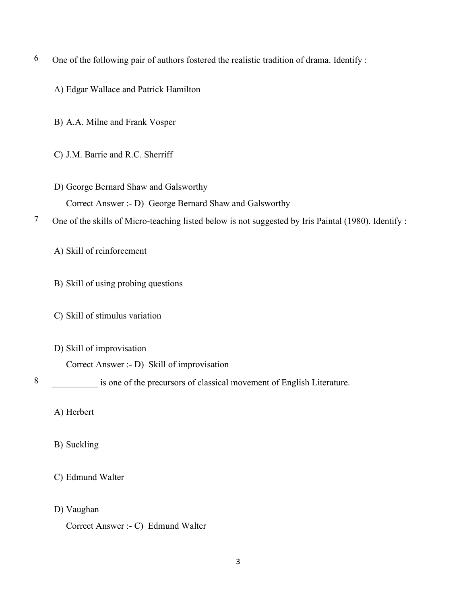- $6$  One of the following pair of authors fostered the realistic tradition of drama. Identify :
	- A) Edgar Wallace and Patrick Hamilton
	- B) A.A. Milne and Frank Vosper
	- C) J.M. Barrie and R.C. Sherriff
	- D) George Bernard Shaw and Galsworthy Correct Answer :- D) George Bernard Shaw and Galsworthy
- 7 One of the skills of Micro-teaching listed below is not suggested by Iris Paintal (1980). Identify :

A) Skill of reinforcement

- B) Skill of using probing questions
- C) Skill of stimulus variation
- D) Skill of improvisation

Correct Answer :- D) Skill of improvisation

8 \_\_\_\_\_\_\_\_\_\_ is one of the precursors of classical movement of English Literature.

A) Herbert

- B) Suckling
- C) Edmund Walter
- D) Vaughan
	- Correct Answer :- C) Edmund Walter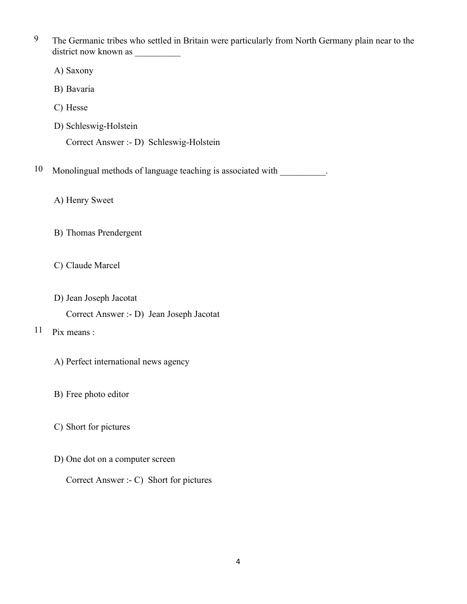<sup>9</sup> The Germanic tribes who settled in Britain were particularly from North Germany plain near to the district now known as

A) Saxony

B) Bavaria

C) Hesse

D) Schleswig-Holstein

Correct Answer :- D) Schleswig-Holstein

10 Monolingual methods of language teaching is associated with  $\qquad \qquad$ .

A) Henry Sweet

B) Thomas Prendergent

C) Claude Marcel

D) Jean Joseph Jacotat

Correct Answer :- D) Jean Joseph Jacotat

11 Pix means :

- A) Perfect international news agency
- B) Free photo editor
- C) Short for pictures
- D) One dot on a computer screen

Correct Answer :- C) Short for pictures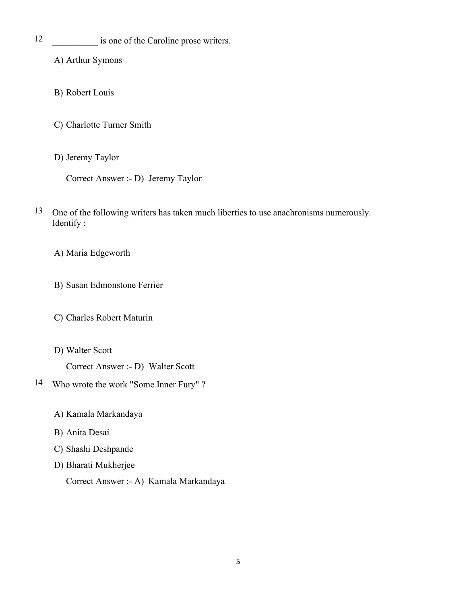12 \_\_\_\_\_\_\_\_\_\_\_ is one of the Caroline prose writers.

A) Arthur Symons

- B) Robert Louis
- C) Charlotte Turner Smith
- D) Jeremy Taylor

Correct Answer :- D) Jeremy Taylor

13 One of the following writers has taken much liberties to use anachronisms numerously. Identify :

A) Maria Edgeworth

- B) Susan Edmonstone Ferrier
- C) Charles Robert Maturin
- D) Walter Scott

Correct Answer :- D) Walter Scott

- 14 Who wrote the work "Some Inner Fury" ?
	- A) Kamala Markandaya
	- B) Anita Desai
	- C) Shashi Deshpande
	- D) Bharati Mukherjee

Correct Answer :- A) Kamala Markandaya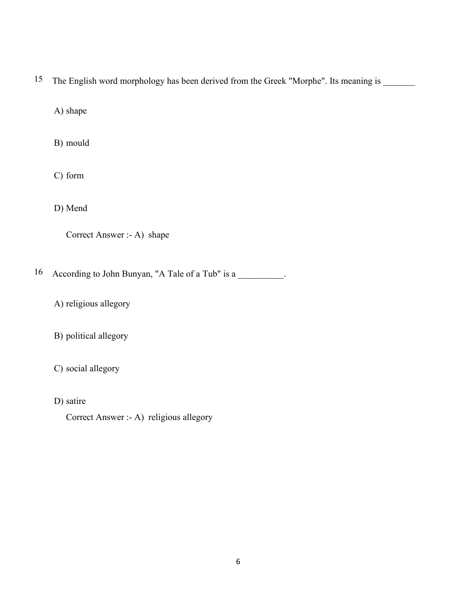15 The English word morphology has been derived from the Greek "Morphe". Its meaning is

A) shape

B) mould

C) form

D) Mend

| Correct Answer :- A) shape |  |
|----------------------------|--|
|----------------------------|--|

16 According to John Bunyan, "A Tale of a Tub" is a \_\_\_\_\_\_\_\_\_.

A) religious allegory

B) political allegory

C) social allegory

D) satire

Correct Answer :- A) religious allegory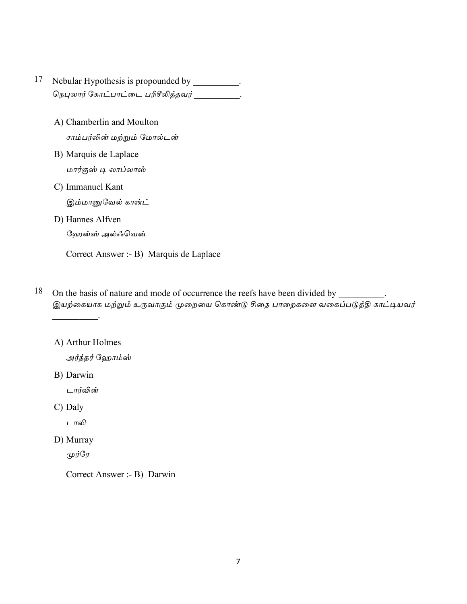- 17 Nebular Hypothesis is propounded by \_\_\_\_\_\_\_\_\_\_.
	- A) Chamberlin and Moulton சாம்பர்லின் மற்றும் மோல்டன்
	- B) Marquis de Laplace மார்குஸ் டி லாப்லாஸ்
	- C) Immanuel Kant

இம்மானுவேல் கான்ட்

D) Hannes Alfven

ஹேன்ஸ் அல்ஃவென்

Correct Answer :- B) Marquis de Laplace

- 18 On the basis of nature and mode of occurrence the reefs have been divided by இயற்கையாக மற்றும் உருவாகும் முறையை கொண்டு சிதை பாறைகளை வகைப்படுத்தி காட்டியவர்
	- A) Arthur Holmes

அர்த்தர் ஹோம்ஸ்

B) Darwin

டார்வின்

C) Daly

டாலி

D) Murray

முர்ரே

Correct Answer :- B) Darwin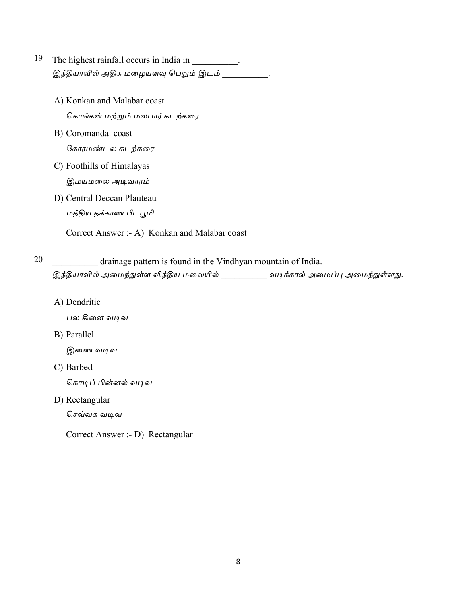- 19 The highest rainfall occurs in India in  $\overline{\phantom{a}}$ இந்தியாவில் அதிக மழையளவு பெறும் இடம்
	- A) Konkan and Malabar coast கொங்கன் மற்றும் மலபார் கடற்கரை
	- B) Coromandal coast கோரமண்டல கடற்கரை
	- C) Foothills of Himalayas

இமயமலை அடிவாரம்

D) Central Deccan Plauteau மத்திய தக்காண பீடபூமி

Correct Answer :- A) Konkan and Malabar coast

20 drainage pattern is found in the Vindhyan mountain of India. இந்தியாவில் அமைந்துள்ள விந்திய மலையில் \_\_\_\_\_\_\_\_\_\_\_ வடிக்கால் அமைப்பு அமைந்துள்ளது.

A) Dendritic

பல கிளை வடிவ

B) Parallel

இணை வடிவ

C) Barbed

கொடிப் பின்னல் வடிவ

D) Rectangular

செவ்வக வடிவ

Correct Answer :- D) Rectangular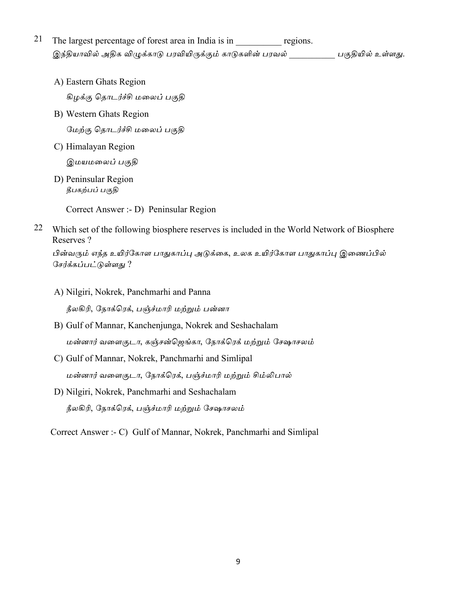- 21 The largest percentage of forest area in India is in \_\_\_\_\_\_\_\_\_\_\_\_\_ regions. இந்தியாவில் அதிக விழுக்காடு பரவியிருக்கும் காடுகளின் பரவல் \_\_\_\_\_\_\_\_\_\_\_\_ பகுதியில் உள்ளது.
	- A) Eastern Ghats Region

கிழக்கு தொடர்ச்சி மலைப் பகுதி

- B) Western Ghats Region மேற்கு தொடர்ச்சி மலைப் பகுதி
- C) Himalayan Region

இமயமலைப் பகுதி

D) Peninsular Region தீபகற்பப் பகுதி

Correct Answer :- D) Peninsular Region

22 Which set of the following biosphere reserves is included in the World Network of Biosphere Reserves?

பின்வரும் எந்த உயிர்கோள பாதுகாப்பு அடுக்கை, உலக உயிர்கோள பாதுகாப்பு இணைப்பில் சேர்க்கப்பட்டுள்ளது ?

- A) Nilgiri, Nokrek, Panchmarhi and Panna நீலகிரி, நோக்ரெக், பஞ்ச்மாரி மற்றும் பன்னா
- B) Gulf of Mannar, Kanchenjunga, Nokrek and Seshachalam மன்னார் வளைகுடா, கஞ்சன்ஜெங்கா, நோக்ரெக் மற்றும் சேஷாசலம்
- C) Gulf of Mannar, Nokrek, Panchmarhi and Simlipal மன்னார் வளைகுடா, நோக்ரெக், பஞ்ச்மாரி மற்றும் சிம்லிபால்
- D) Nilgiri, Nokrek, Panchmarhi and Seshachalam நீலகிரி, நோக்ரெக், பஞ்ச்மாரி மற்றும் சேஷாசலம்

Correct Answer :- C) Gulf of Mannar, Nokrek, Panchmarhi and Simlipal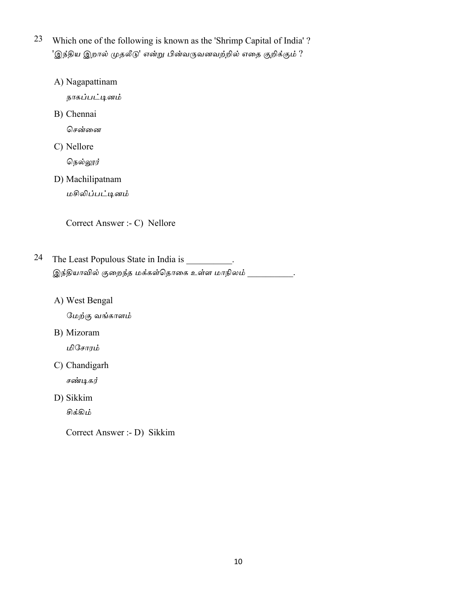- 23 Which one of the following is known as the 'Shrimp Capital of India'? 'இந்திய இறால் முதலீடு' என்று பின்வருவனவற்றில் எதை குறிக்கும் ?
	- A) Nagapattinam

நாகப்பட்டினம்

B) Chennai

சென்னை

C) Nellore

நெல்லூர்

D) Machilipatnam

மசிலிப்பட்டினம்

Correct Answer :- C) Nellore

- 24 The Least Populous State in India is \_\_\_\_\_\_\_\_\_. இந்தியாவில் குறைந்த மக்கள்தொகை உள்ள மாநிலம் .
	- A) West Bengal

மேற்கு வங்காளம்

B) Mizoram

மிசோரம்

C) Chandigarh

சண்டிகர்

D) Sikkim

சிக்கிம்

Correct Answer :- D) Sikkim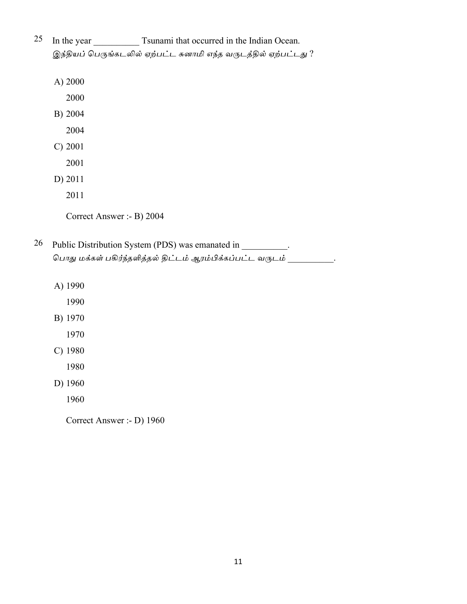- 25 In the year \_\_\_\_\_\_\_\_\_\_\_\_\_\_\_\_\_\_\_ Tsunami that occurred in the Indian Ocean. இந்தியப் பெருங்கடலில் ஏற்பட்ட சுனாமி எந்த வருடத்தில் ஏற்பட்டது ?
	- A) 2000
		- 2000
	- B) 2004
		- 2004
	- $C) 2001$ 
		- 2001
	- D) 2011
		- 2011

Correct Answer :- B) 2004

- 26 Public Distribution System (PDS) was emanated in \_\_\_\_\_\_\_\_\_. பொது மக்கள் பகிர்ந்தளித்தல் திட்டம் ஆரம்பிக்கப்பட்ட வருடம் \_\_\_\_\_\_\_\_\_  $\ddot{\phantom{a}}$ 
	- A) 1990
		- 1990
	- B) 1970
		- 1970
	- $C)$  1980
		- 1980
	- D) 1960
		- 1960

Correct Answer :- D) 1960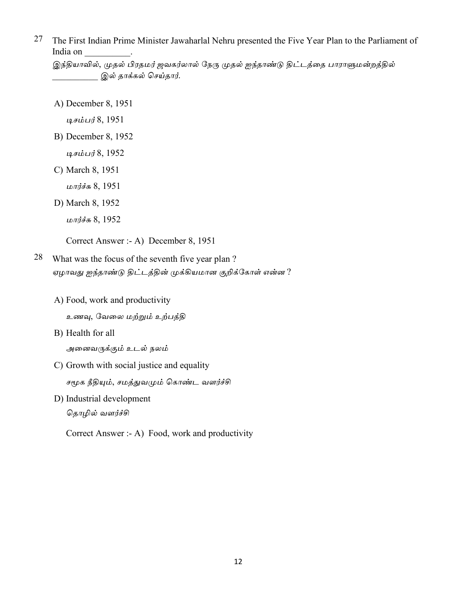27 The First Indian Prime Minister Jawaharlal Nehru presented the Five Year Plan to the Parliament of India on

இந்தியாவில், முதல் பிரதமர் ஜவகர்லால் நேரு முதல் ஐந்தாண்டு திட்டத்தை பாராளுமன்றத்தில் இல் தாக்கல் செய்தார்.

A) December 8, 1951

டிசம்பர் 8, 1951

- B) December 8, 1952
	- டிசம்பர் 8, 1952
- C) March 8, 1951
	- மார்ச்சு 8, 1951
- D) March 8, 1952
	- மார்ச்சு 8, 1952

Correct Answer :- A) December 8, 1951

- 28 What was the focus of the seventh five year plan? ஏழாவது ஐந்தாண்டு திட்டத்தின் முக்கியமான குறிக்கோள் என்ன ?
	- A) Food, work and productivity

உணவு, வேலை மற்றும் உற்பத்தி

B) Health for all

அனைவருக்கும் உடல் நலம்

C) Growth with social justice and equality

சமூக நீதியும், சமத்துவமும் கொண்ட வளர்ச்சி

D) Industrial development

தொழில் வளர்ச்சி

Correct Answer :- A) Food, work and productivity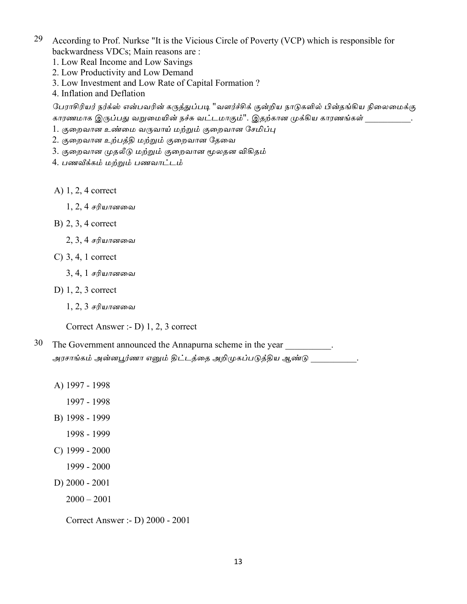- 29 According to Prof. Nurkse "It is the Vicious Circle of Poverty (VCP) which is responsible for backwardness VDCs; Main reasons are:
	- 1. Low Real Income and Low Savings
	- 2. Low Productivity and Low Demand
	- 3. Low Investment and Low Rate of Capital Formation?
	- 4. Inflation and Deflation

பேராசிரியர் நர்க்ஸ் என்பவரின் கருத்துப்படி "வளர்ச்சிக் குன்றிய நாடுகளில் பின்தங்கிய நிலைமைக்கு காரணமாக இருப்பது வறுமையின் நச்சு வட்டமாகும்''. இதற்கான முக்கிய காரணங்கள் .

- 1. குறைவான உண்மை வருவாய் மற்றும் குறைவான சேமிப்பு
- 2. குறைவான உற்பத்தி மற்றும் குறைவான தேவை
- 3. குறைவான முதலீடு மற்றும் குறைவான மூலதன விகிதம்
- 4. பணவீக்கம் மற்றும் பணவாட்டம்
- A)  $1, 2, 4$  correct
	- $1, 2, 4$  சரியானவை
- $B)$  2, 3, 4 correct
	- $2, 3, 4$  சரியானவை
- $\mathcal{C}$ ) 3, 4, 1 correct
	- 3, 4, 1 *ச*ரியானவை
- D)  $1, 2, 3$  correct
	- $1, 2, 3$  சரியானவை

Correct Answer :- D) 1, 2, 3 correct

- 30 The Government announced the Annapurna scheme in the year . அரசாங்கம் அன்னபூர்ணா எனும் திட்டத்தை அறிமுகப்படுத்திய ஆண்டு \_\_\_\_\_\_\_\_\_\_ .
	- A) 1997 1998

1997 - 1998

- B) 1998 1999
	- 1998 1999
- $C)$  1999 2000
	- 1999 2000
- D)  $2000 2001$ 
	- $2000 2001$

Correct Answer :- D) 2000 - 2001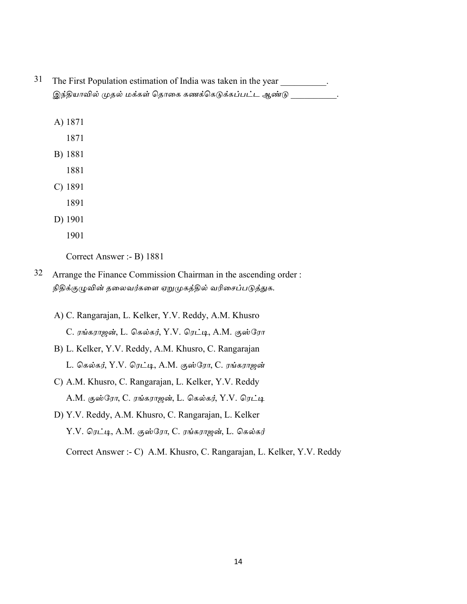- 31 The First Population estimation of India was taken in the year. இந்தியாவில் முதல் மக்கள் தொகை கணக்கெடுக்கப்பட்ட ஆண்டு
	- A) 1871
		- 1871
	- B) 1881
		- 1881
	- $C) 1891$ 
		- 1891
	- D) 1901
		- 1901

Correct Answer :- B) 1881

- 32 Arrange the Finance Commission Chairman in the ascending order: நிதிக்குழுவின் தலைவர்களை ஏறுமுகத்தில் வரிசைப்படுத்துக.
	- A) C. Rangarajan, L. Kelker, Y.V. Reddy, A.M. Khusro C. ரங்கராஜன், L. கெல்கர், Y.V. ரெட்டி, A.M. குஸ்ரோ
	- B) L. Kelker, Y.V. Reddy, A.M. Khusro, C. Rangarajan L. கெல்கர், Y.V. ரெட்டி, A.M. குஸ்ரோ, C. ரங்கராஜன்
	- C) A.M. Khusro, C. Rangarajan, L. Kelker, Y.V. Reddy A.M. குஸ்ரோ, C. ரங்கராஜன், L. கெல்கர், Y.V. ரெட்டி
	- D) Y.V. Reddy, A.M. Khusro, C. Rangarajan, L. Kelker Y.V. ரெட்டி, A.M. குஸ்ரோ, C. ரங்கராஜன், L. கெல்கர்

Correct Answer :- C) A.M. Khusro, C. Rangarajan, L. Kelker, Y.V. Reddy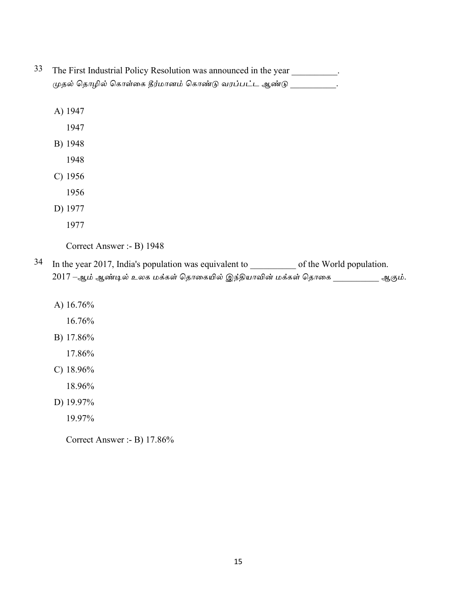- 33 The First Industrial Policy Resolution was announced in the year \_\_\_\_\_\_\_\_\_. முதல் தொழில் கொள்கை தீர்மானம் கொண்டு வரப்பட்ட ஆண்டு \_\_\_\_\_\_\_\_\_\_.
	- A) 1947
		- 1947
	- B) 1948
		- 1948
	- $C)$  1956
		- 1956
	- D) 1977
		- 1977

Correct Answer :- B) 1948

- In the year 2017, India's population was equivalent to \_\_\_\_\_\_\_\_\_\_\_\_ of the World population. 34 2017 –ஆம் ஆண்டில் உலக மக்கள் தொகையில் இந்தியாவின் மக்கள் தொகை \_\_\_\_\_\_\_\_\_ ஆகும்.
	- A) 16.76%

16.76%

- B) 17.86%
	- 17.86%
- C)  $18.96\%$ 
	- 18.96%
- D) 19.97%
	- 19.97%

Correct Answer :- B) 17.86%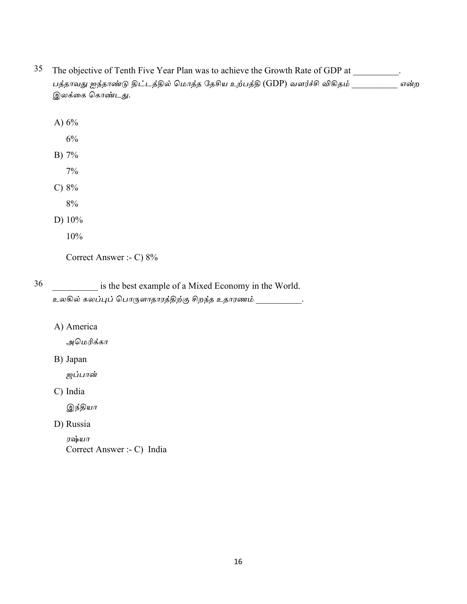- 35 The objective of Tenth Five Year Plan was to achieve the Growth Rate of GDP at \_\_\_\_\_\_\_\_. பத்தாவது ஐந்தாண்டு திட்டத்தில் மொத்த தேசிய உற்பத்தி (GDP) வளர்ச்சி விகிதம் என்ற இலக்கை கொண்டது.
	- A)  $6\%$  $6%$ B) 7%  $7%$ C)  $8%$  $8%$ D)  $10\%$

 $10%$ 

Correct Answer :- C) 8%

36 is the best example of a Mixed Economy in the World. உலகில் கலப்புப் பொருளாதாரத்திற்கு சிறந்த உதாரணம்  $\sim$   $\sim$ 

A) America

அமெரிக்கா

B) Japan

ஜப்பான்

C) India

இந்தியா

D) Russia

ரஷ்யா Correct Answer :- C) India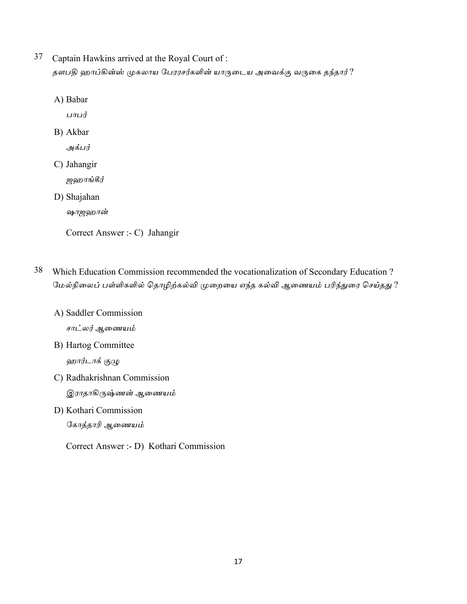- 37 Captain Hawkins arrived at the Royal Court of: தளபதி ஹாப்கின்ஸ் முகலாய பேரரசர்களின் யாருடைய அவைக்கு வருகை தந்தார் ?
	- A) Babar

பாபர்

B) Akbar

அக்பர்

C) Jahangir

ஜஹாங்கீர்

D) Shajahan

ஷாஜஹான்

Correct Answer :- C) Jahangir

- 38 Which Education Commission recommended the vocationalization of Secondary Education? மேல்நிலைப் பள்ளிகளில் தொழிற்கல்வி முறையை எந்த கல்வி ஆணையம் பரிந்துரை செய்தது ?
	- A) Saddler Commission சாட்லர் ஆணையம்
	- B) Hartog Committee ஹார்டாக் குழு
	- C) Radhakrishnan Commission இராதாகிருஷ்ணன் ஆணையம்
	- D) Kothari Commission கோத்தாரி ஆணையம்

Correct Answer :- D) Kothari Commission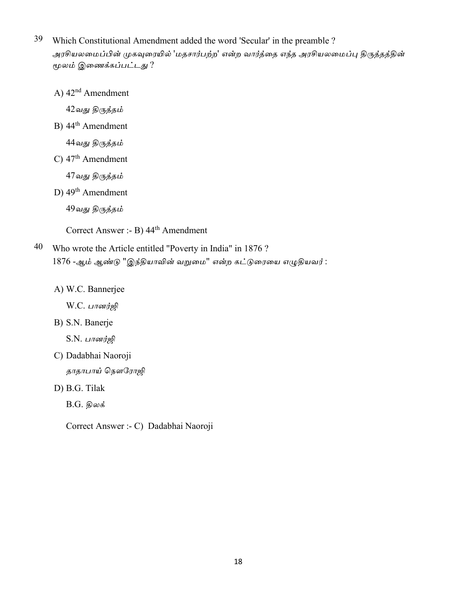- 39 Which Constitutional Amendment added the word 'Secular' in the preamble ? அரசியலமைப்பின் முகவுரையில் 'மதசார்பற்ற' என்ற வார்த்தை எந்த அரசியலமைப்பு திருத்தத்தின் மூலம் இணைக்கப்பட்டது ?
	- A)  $42<sup>nd</sup>$  Amendment

42வது திருத்தம்

B) 44<sup>th</sup> Amendment

44வது திருத்தம்

C)  $47<sup>th</sup>$  Amendment

47வது திருத்தம்

D)  $49<sup>th</sup>$  Amendment

49வது திருத்தம்

Correct Answer :- B) 44<sup>th</sup> Amendment

- 40 Who wrote the Article entitled "Poverty in India" in 1876? 1876 -ஆம் ஆண்டு "இந்தியாவின் வறுமை" என்ற கட்டுரையை எழுதியவர்:
	- A) W.C. Bannerjee

W.C. பானர்ஜி

B) S.N. Banerje

 $S.N.$  பானர்ஜி

C) Dadabhai Naoroji தாதாபாய் நௌரோஜி

D) B.G. Tilak

 $B.G.$  திலக்

Correct Answer :- C) Dadabhai Naoroji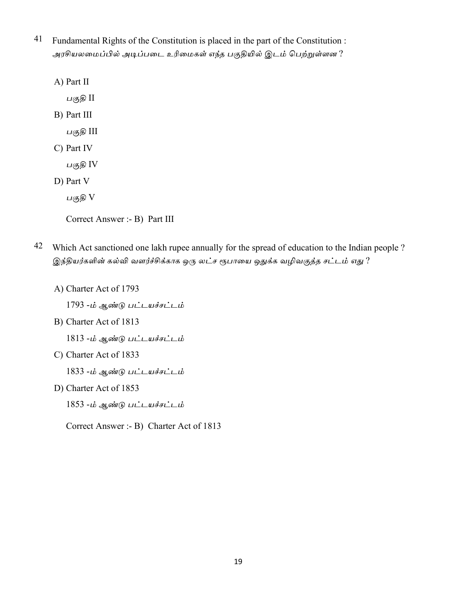- 41 Fundamental Rights of the Constitution is placed in the part of the Constitution: அரசியலமைப்பில் அடிப்படை உரிமைகள் எந்த பகுதியில் இடம் பெற்றுள்ளன ?
	- A) Part II
		- பகுதி II
	- B) Part III
		- பகுதி III
	- C) Part IV

பகுதி IV

D) Part V

பகுதி V

```
Correct Answer :- B) Part III
```
- 42 Which Act sanctioned one lakh rupee annually for the spread of education to the Indian people? இந்தியர்களின் கல்வி வளர்ச்சிக்காக ஒரு லட்ச ரூபாயை ஒதுக்க வழிவகுத்த சட்டம் எது ?
	- A) Charter Act of 1793

1793 -ம் ஆண்டு பட்டயச்சட்டம்

B) Charter Act of 1813

1813 -ம் ஆண்டு பட்டயச்சட்டம்

C) Charter Act of 1833

1833 -ம் ஆண்டு பட்டயச்சட்டம்

D) Charter Act of 1853

1853 -ம் ஆண்டு பட்டயச்சட்டம்

Correct Answer :- B) Charter Act of 1813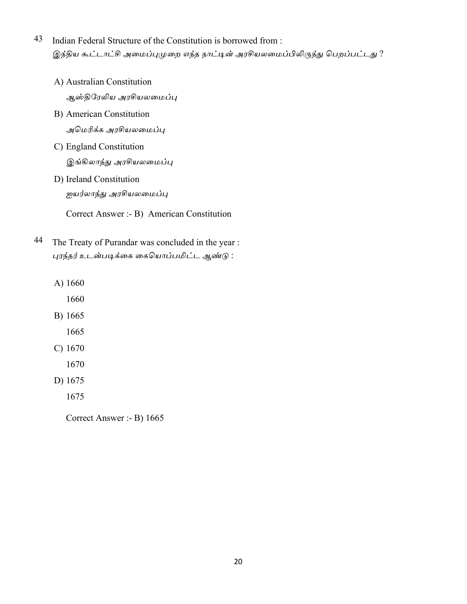- 43 Indian Federal Structure of the Constitution is borrowed from : இந்திய கூட்டாட்சி அமைப்புமுறை எந்த நாட்டின் அரசியலமைப்பிலிருந்து பெறப்பட்டது ?
	- A) Australian Constitution ஆஸ்திரேலிய அரசியலமைப்பு
	- B) American Constitution அமெரிக்க அரசியலமைப்பு
	- C) England Constitution இங்கிலாந்து அரசியலமைப்பு
	- D) Ireland Constitution ஜயர்லாந்து அரசியலமைப்பு

Correct Answer :- B) American Constitution

- 44 The Treaty of Purandar was concluded in the year : புரந்தர் உடன்படிக்கை கையொப்பமிட்ட ஆண்டு :
	- A) 1660
		- 1660
	- B) 1665
		- 1665
	- $C) 1670$ 
		- 1670
	- D) 1675
		- 1675

Correct Answer :- B) 1665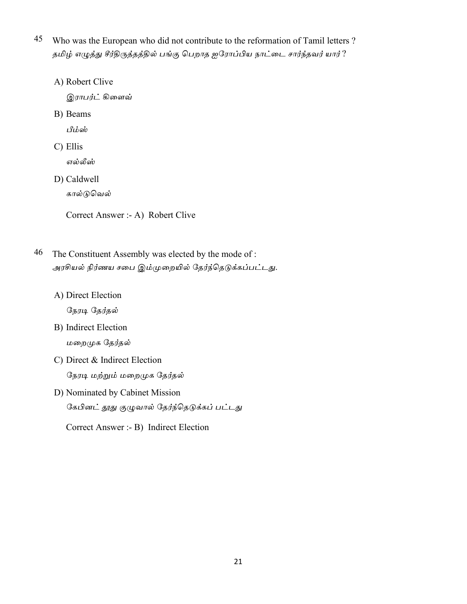- 45 Who was the European who did not contribute to the reformation of Tamil letters? தமிழ் எழுத்து சீர்திருத்தத்தில் பங்கு பெறாத ஐரோப்பிய நாட்டை சார்ந்தவர் யார்?
	- A) Robert Clive

இ*ராபர்ட்* கிளைவ்

B) Beams

பீம்ஸ்

C) Ellis

எல்லீஸ்

D) Caldwell

கால்டுவெல்

Correct Answer :- A) Robert Clive

- 46 The Constituent Assembly was elected by the mode of: அரசியல் நிர்ணய சபை இம்முறையில் தேர்ந்தெடுக்கப்பட்டது.
	- A) Direct Election

நேரடி தேர்தல்

- **B)** Indirect Election மறைமுக தேர்தல்
- C) Direct & Indirect Election நேரடி மற்றும் மறைமுக தேர்தல்
- D) Nominated by Cabinet Mission கேபினட் தூது குழுவால் தேர்ந்தெடுக்கப் பட்டது

Correct Answer :- B) Indirect Election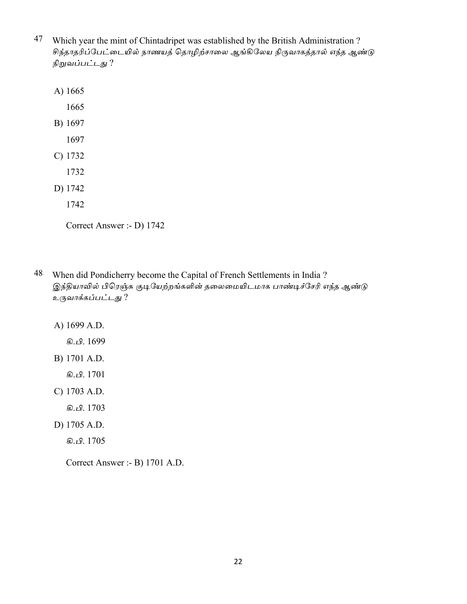- 47 Which year the mint of Chintadripet was established by the British Administration? சிந்தாதரிப்பேட்டையில் நாணயத் தொழிற்சாலை ஆங்கிலேய நிருவாகத்தால் எந்த ஆண்டு நிறுவப்பட்டது ?
	- A) 1665
		- 1665
	- B) 1697
		- 1697
	- $C) 1732$ 
		- 1732
	- D) 1742
		- 1742

- 48 When did Pondicherry become the Capital of French Settlements in India? இந்தியாவில் பிரெஞ்சு குடியேற்றங்களின் தலைமையிடமாக பாண்டிச்சேரி எந்த ஆண்டு உருவாக்கப்பட்டது ?
	- A) 1699 A.D.
		- கி.பி. 1699
	- B) 1701 A.D.

கி. பி. 1701

- C) 1703 A.D.
	- கி.பி. 1703
- D) 1705 A.D.
	- கி. பி. 1705

Correct Answer :- B) 1701 A.D.

Correct Answer :- D) 1742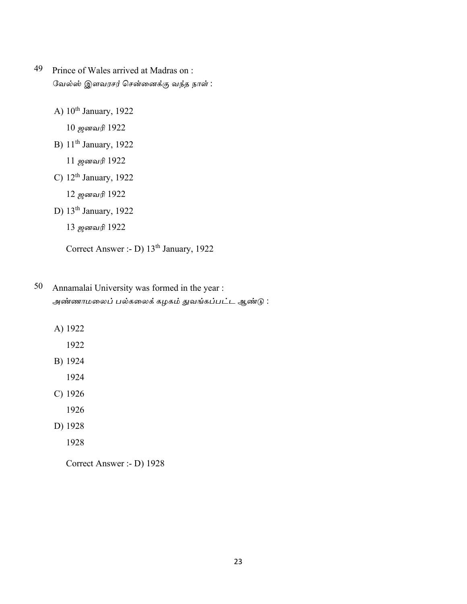- 49 Prince of Wales arrived at Madras on : வேல்ஸ் இளவரசர் சென்னைக்கு வந்த நாள் :
	- A)  $10^{th}$  January, 1922

10 ஜனவரி 1922

B) 11<sup>th</sup> January, 1922

11 ஜனவரி 1922

C)  $12<sup>th</sup> January, 1922$ 

12 ஜனவரி 1922

D) 13<sup>th</sup> January, 1922

13 ஜனவரி 1922

Correct Answer :- D)  $13<sup>th</sup>$  January, 1922

- 50 Annamalai University was formed in the year : அண்ணாமலைப் பல்கலைக் கழகம் துவங்கப்பட்ட ஆண்டு :
	- A) 1922
		- 1922
	- B) 1924

1924

- C) 1926
	- 1926
- D) 1928
	- 1928

Correct Answer :- D) 1928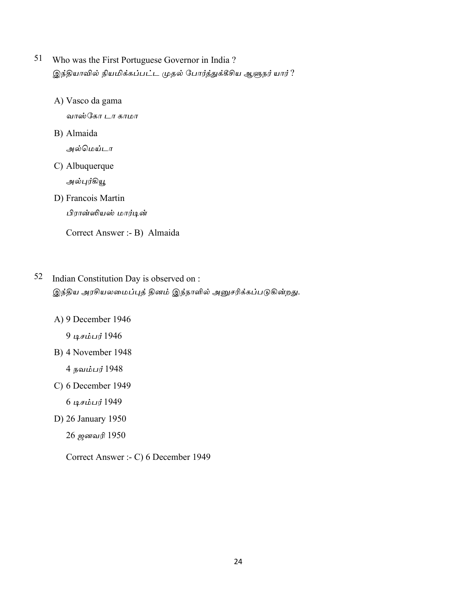- 51 Who was the First Portuguese Governor in India ? இந்தியாவில் நியமிக்கப்பட்ட முதல் போர்த்துக்கீசிய ஆளுநர் யார் ?
	- A) Vasco da gama

வாஸ்கோ டா காமா

B) Almaida

அல்மெய்டா

C) Albuquerque

அல்புர்கியூ

D) Francois Martin பிரான்ஸியஸ் மார்டின்

Correct Answer :- B) Almaida

## 52 Indian Constitution Day is observed on : இந்திய அரசியலமைப்புத் தினம் இந்நாளில் அனுசரிக்கப்படுகின்றது.

- A) 9 December 1946
	- 9 டிசம்பர் 1946
- B) 4 November 1948

 $4$  நவம்பர் 1948

C) 6 December 1949

6 டிசம்பர் 1949

D) 26 January 1950

26 ஜனவரி 1950

Correct Answer :- C) 6 December 1949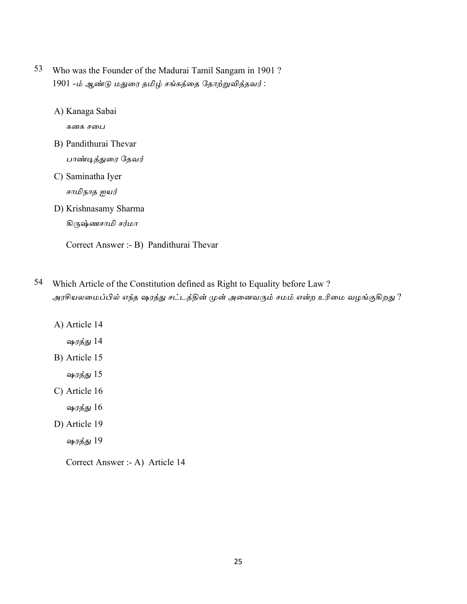- 53 Who was the Founder of the Madurai Tamil Sangam in 1901? 1901 -ம் ஆண்டு மதுரை தமிழ் சங்கத்தை தோற்றுவித்தவர்:
	- A) Kanaga Sabai

கனக சபை

- B) Pandithurai Thevar பாண்டித்துரை தேவர்
- C) Saminatha Iyer சாமிநாத ஐயர்
- D) Krishnasamy Sharma கிருஷ்ணசாமி சர்மா

Correct Answer :- B) Pandithurai Thevar

- 54 Which Article of the Constitution defined as Right to Equality before Law? அரசியலமைப்பில் எந்த ஷரத்து சட்டத்தின் முன் அனைவரும் சமம் என்ற உரிமை வழங்குகிறது ?
	- A) Article 14
		- ஷரத்து 14
	- B) Article 15
		- ஷரத்து 15
	- C) Article 16
		- ஷரத்து 16
	- D) Article 19
		- ஷரத்து 19

Correct Answer :- A) Article 14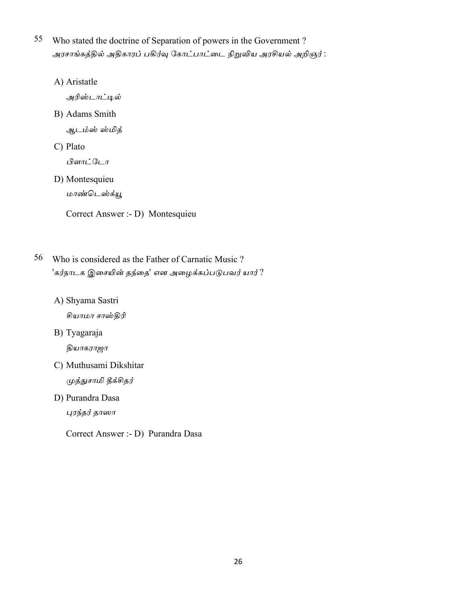- 55 Who stated the doctrine of Separation of powers in the Government? அரசாங்கத்தில் அதிகாரப் பகிர்வு கோட்பாட்டை நிறுவிய அரசியல் அறிஞர் :
	- A) Aristatle

அரிஸ்டாட்டில்

B) Adams Smith

ஆடம்ஸ் ஸ்மித்

C) Plato

பிளாட்டோ

D) Montesquieu

மாண்டெஸ்க்யூ

Correct Answer :- D) Montesquieu

- 56 Who is considered as the Father of Carnatic Music? 'கர்நாடக இசையின் தந்தை' என அழைக்கப்படுபவர் யார் ?
	- A) Shyama Sastri

சியாமா சாஸ்திரி

B) Tyagaraja

தியாகராஜா

- C) Muthusami Dikshitar முத்துசாமி தீக்சிதர்
- D) Purandra Dasa

புரந்தர் தாஸா

Correct Answer :- D) Purandra Dasa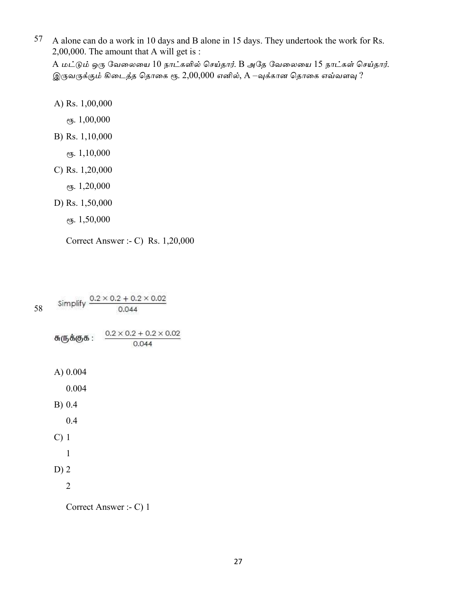57 A alone can do a work in 10 days and B alone in 15 days. They undertook the work for Rs. 2,00,000. The amount that A will get is :

A மட்டும் ஒரு வேலையை 10 நாட்களில் செய்தார். B அதே வேலையை 15 நாட்கள் செய்தார். இருவருக்கும் கிடைத்த தொகை ரூ. 2,00,000 எனில், A –வுக்கான தொகை எவ்வளவு ?

A) Rs. 1,00,000

*ев.* 1,00,000

- B) Rs. 1,10,000
	- *ев.*  $1,10,000$
- C) Rs.  $1,20,000$ 
	- *е*у. 1,20,000
- D) Rs. 1,50,000
	- *ев.*  $1,50,000$

Correct Answer :- C) Rs. 1,20,000

|    | $0.2 \times 0.2 + 0.2 \times 0.02$<br>Simplify |                                    |  |
|----|------------------------------------------------|------------------------------------|--|
| 58 |                                                | 0.044                              |  |
|    | சுருக்குக :                                    | $0.2 \times 0.2 + 0.2 \times 0.02$ |  |
|    |                                                | 0.044                              |  |
|    | A) 0.004                                       |                                    |  |
|    | 0.004                                          |                                    |  |
|    | $B)$ 0.4                                       |                                    |  |
|    | 0.4                                            |                                    |  |
|    | $C)$ 1                                         |                                    |  |
|    | 1                                              |                                    |  |
|    | $D)$ 2                                         |                                    |  |
|    | $\overline{2}$                                 |                                    |  |
|    |                                                | Correct Answer :- C) 1             |  |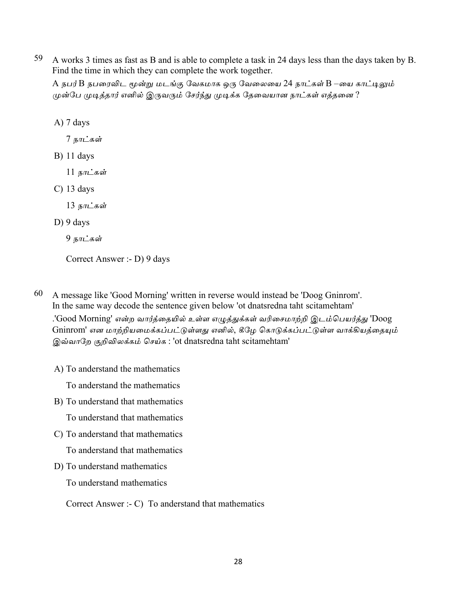59 A works 3 times as fast as B and is able to complete a task in 24 days less than the days taken by B. Find the time in which they can complete the work together.

A நபர்B நபரைவிட மூன்று மடங்கு வேகமாக ஒரு வேலையை 24 நாட்கள் B –யை காட்டிலும் முன்பே முடித்தார் எனில் இருவரும் சேர்ந்து முடிக்க தேவையான நாட்கள் எத்தனை ?

 $A)$  7 days

7 நாட்கள்

- $B)$  11 days
	- 11 நாட்கள்
- $C)$  13 days

13 நாட்கள்

D) 9 days

9 நாட்கள்

Correct Answer :- D) 9 days

- 60 A message like 'Good Morning' written in reverse would instead be 'Doog Gninrom'. In the same way decode the sentence given below 'ot dnatsredna taht scitamehtam' .'Good Morning' என்ற வார்த்தையில் உள்ள எழுத்துக்கள் வரிசைமாற்றி இடம்பெயர்த்து 'Doog Gninrom' என மாற்றியமைக்கப்பட்டுள்ளது எனில், கீழே கொடுக்கப்பட்டுள்ள வாக்கியத்தையும் இவ்வாறே குறிவிலக்கம் செய்க: 'ot dnatsredna taht scitamehtam'
	- A) To anderstand the mathematics

To anderstand the mathematics

B) To understand that mathematics

To understand that mathematics

- C) To anderstand that mathematics To anderstand that mathematics
- D) To understand mathematics

To understand mathematics

Correct Answer :- C) To anderstand that mathematics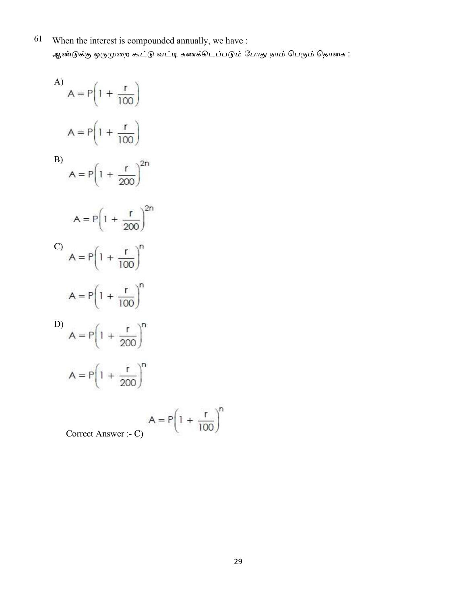61 When the interest is compounded annually, we have : ஆண்டுக்கு ஒருமுறை கூட்டு வட்டி கணக்கிடப்படும் போது நாம் பெரும் தொகை :

A)  $A = P(1 + \frac{r}{100})$  $A = P\left(1 + \frac{r}{100}\right)$  $B)$  $A = P\left(1 + \frac{r}{200}\right)^{2n}$  $A = P\left(1 + \frac{r}{200}\right)^{2n}$ C)  $A = P(1 + \frac{r}{100})^n$  $A = P\left(1 + \frac{r}{100}\right)^n$ D)  $A = P\left(1 + \frac{r}{200}\right)^n$  $A = P\left(1 + \frac{r}{200}\right)^n$ 

$$
A = P \left( 1 + \frac{r}{100} \right)^n
$$

Correct Answer :- 0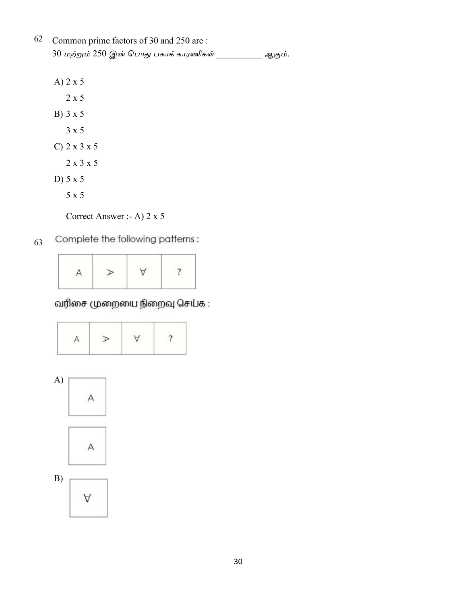| 62 Common prime factors of 30 and 250 are : |        |
|---------------------------------------------|--------|
| 30 மற்றும் 250 இன் பொது பகாக் காரணிகள்      | ஆகும். |

- A) 2 x 5
- $2 \times 5$
- B) 3 x 5  $3 \times 5$
- $C)$  2 x 3 x 5
	- $2 \times 3 \times 5$
- D)  $5 \times 5$ 
	- $5 \times 5$

Correct Answer :- A) 2 x 5

#### Complete the following patterns: 63

| $\sim$ |  |  |
|--------|--|--|
|        |  |  |

# வரிசை முறையை நிறைவு செய்க :



Α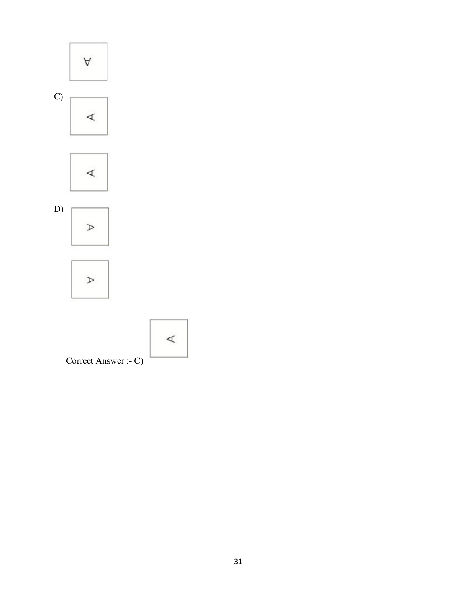

Correct Answer :- C)

 $\prec$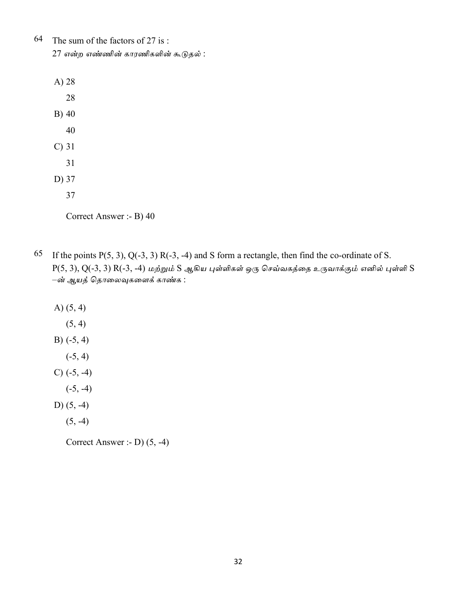64 The sum of the factors of 27 is: 27 என்ற எண்ணின் காரணிகளின் கூடுதல்:

| $A)$ 28  |    |
|----------|----|
|          | 28 |
| B) 40    |    |
|          | 40 |
| $C$ ) 31 |    |
|          | 31 |
| D) 37    |    |
|          | 37 |

Correct Answer :- B) 40

65 If the points  $P(5, 3)$ ,  $Q(-3, 3)$  R(-3, -4) and S form a rectangle, then find the co-ordinate of S.  $P(5, 3), Q(-3, 3) R(-3, -4)$  மற்றும்  $S$  ஆகிய புள்ளிகள் ஒரு செவ்வகத்தை உருவாக்கும் எனில் புள்ளி  $S$ –ன் ஆயத் தொலைவுகளைக் காண்க :

A)  $(5, 4)$ 

- $(5, 4)$
- $B)$  (-5, 4)
	- $(-5, 4)$
- $C)$  (-5, -4)
	- $(-5, -4)$
- D)  $(5, -4)$ 
	- $(5, -4)$

Correct Answer :- D) (5, -4)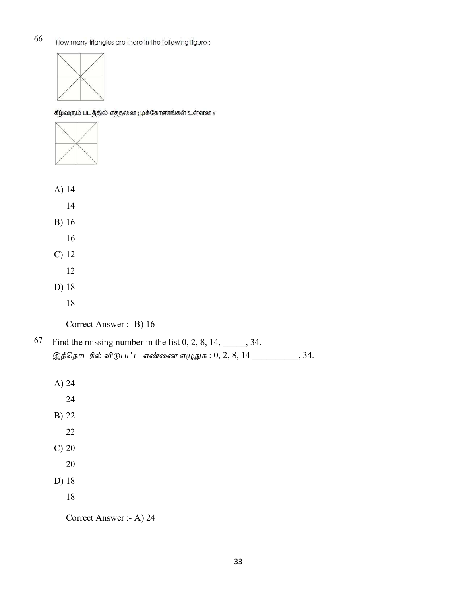66 How many triangles are there in the following figure:



கீழ்வரும் படத்தில் எத்தனை முக்கோணங்கள் உள்ளன ?



- A)  $14$ 
	- $14$
- B) 16
	- 16
- $C)$  12
	- 12
- D) 18
	- 18
	- Correct Answer :- B) 16
- 67 Find the missing number in the list  $0, 2, 8, 14, \underline{\hspace{2cm}}$ , 34. இத்தொடரில் விடுபட்ட எண்ணை எழுதுக :  $0, 2, 8, 14$  \_\_\_\_\_\_\_\_\_, 34.
	- A)  $24$
	- 24 B) 22
		- 22
	- $C)$  20
		- 20
	- D) 18
		- 18

Correct Answer :- A) 24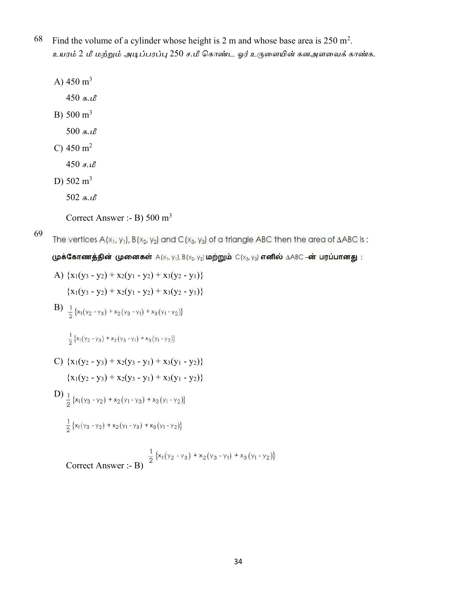- 68 Find the volume of a cylinder whose height is 2 m and whose base area is  $250 \text{ m}^2$ . உயரம் 2 மீ மற்றும் அடிப்பரப்பு 250 ச.மீ கொண்ட ஓர் உருளையின் கனஅளவைக் காண்க.
	- A)  $450 \text{ m}^3$
	- $450$  க.மீ
	- B)  $500 \text{ m}^3$ 
		- $500$  க.மீ
	- C)  $450 \text{ m}^2$ 
		- $450$  ச.மீ
	- D)  $502 \text{ m}^3$ 
		- 502 க.

Correct Answer :- B) 500 m<sup>3</sup>

69

The vertices  $A(x_1, y_1)$ ,  $B(x_2, y_2)$  and  $C(x_3, y_3)$  of a triangle ABC then the area of  $\triangle ABC$  is :

முக்கோணத்தின் முனைகள்  $A(x_1, y_1)$ ,  $B(x_2, y_2)$  மற்றும்  $C(x_3, y_3)$  எனில்  $\triangle ABC - \vec{\omega}$  பரப்பானது:

A) 
$$
\{x_1(y_3 - y_2) + x_2(y_1 - y_2) + x_3(y_2 - y_1)\}\
$$

$$
\{x_1(y_3 - y_2) + x_2(y_1 - y_2) + x_3(y_2 - y_1)\}\
$$

B)  $\frac{1}{2}$ {x<sub>1</sub>(y<sub>2</sub> - y<sub>3</sub>) + x<sub>2</sub>(y<sub>3</sub> - y<sub>1</sub>) + x<sub>3</sub>(y<sub>1</sub> - y<sub>2</sub>)}

 $\frac{1}{2} \{ x_1 (y_2 - y_3) + x_2 (y_3 - y_1) + x_3 (y_1 - y_2) \}$ 

- C)  $\{x_1(y_2 y_3) + x_2(y_3 y_1) + x_3(y_1 y_2)\}$  ${x_1(y_2 - y_3) + x_2(y_3 - y_1) + x_3(y_1 - y_2)}$
- D)  $\frac{1}{2}$ {x<sub>1</sub>(y<sub>3</sub> y<sub>2</sub>) + x<sub>2</sub>(y<sub>1</sub> y<sub>3</sub>) + x<sub>3</sub>(y<sub>1</sub> y<sub>2</sub>)}

$$
\frac{1}{2}\left\{x_1(y_3-y_2)+x_2(y_1-y_3)+x_3(y_1-y_2)\right\}
$$

Correct Answer :- B)  $\frac{1}{2} \{x_1(y_2 - y_3) + x_2(y_3 - y_1) + x_3(y_1 - y_2)\}$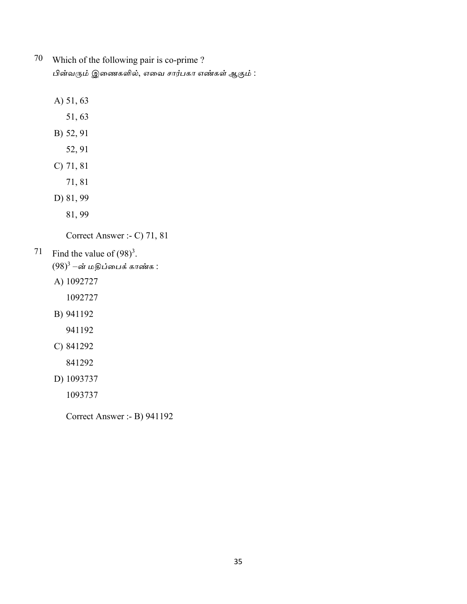- $70\,$ Which of the following pair is co-prime? பின்வரும் இணைகளில், எவை சார்பகா எண்கள் ஆகும் :
	- A) 51, 63
		- 51,63
	- B) 52, 91
		- 52, 91
	- $C)$  71, 81
		- 71,81
	- D) 81, 99
		- 81, 99

Correct Answer :- C) 71, 81

- Find the value of  $(98)^3$ . 71
	- $(98)^3$  –ன் மதிப்பைக் காண்க :
	- A) 1092727
		- 1092727
	- B) 941192
		- 941192
	- C) 841292
		- 841292
	- D) 1093737
		- 1093737

Correct Answer :- B) 941192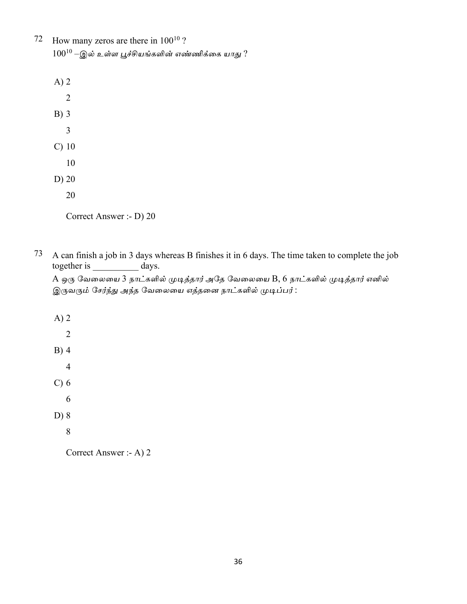72 How many zeros are there in  $100^{10}$  ?  $100^{10}$  –இல் உள்ள பூச்சியங்களின் எண்ணிக்கை யாது ?

 $A)$  2  $\overline{2}$  $B)$  3  $\overline{3}$  $C)$  10 10  $D)$  20 20

Correct Answer :- D) 20

73 A can finish a job in 3 days whereas B finishes it in 6 days. The time taken to complete the job together is days.

A ஒரு வேலையை 3 நாட்களில் முடித்தார் அதே வேலையை B, 6 நாட்களில் முடித்தார் எனில் இருவரும் சேர்ந்து அந்த வேலையை எத்தனை நாட்களில் முடிப்பர் :

 $A)$  2  $\overline{2}$  $B)$  4  $\overline{4}$  $C$ ) 6 6  $D) 8$  $8\phantom{.}$ 

Correct Answer :- A) 2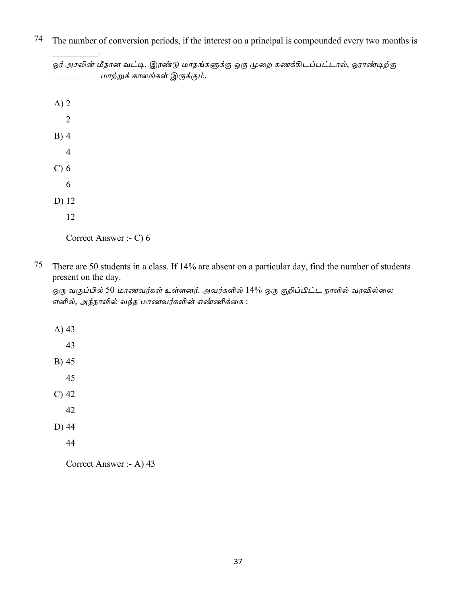| ஓர் அசலின் மீதான வட்டி, இரண்டு மாதங்களுக்கு ஒரு முறை கணக்கிடப்பட்டால், ஓராண்டிற்கு<br>மாற்றுக் காலங்கள் இருக்கும். |
|--------------------------------------------------------------------------------------------------------------------|
| $A)$ 2                                                                                                             |
| $\overline{2}$                                                                                                     |
| $B)$ 4                                                                                                             |
| $\overline{4}$                                                                                                     |
| $C$ ) $6$                                                                                                          |
| 6                                                                                                                  |
| D) 12                                                                                                              |
| 12                                                                                                                 |
|                                                                                                                    |

74 The number of conversion periods, if the interest on a principal is compounded every two months is

75 There are 50 students in a class. If 14% are absent on a particular day, find the number of students present on the day.

ஒரு வகுப்பில் 50 மாணவர்கள் உள்ளனர். அவர்களில் 14% ஒரு குறிப்பிட்ட நாளில் வரவில்லை எனில், அந்நாளில் வந்த மாணவர்களின் எண்ணிக்கை :

Correct Answer :- A) 43

Correct Answer :- C) 6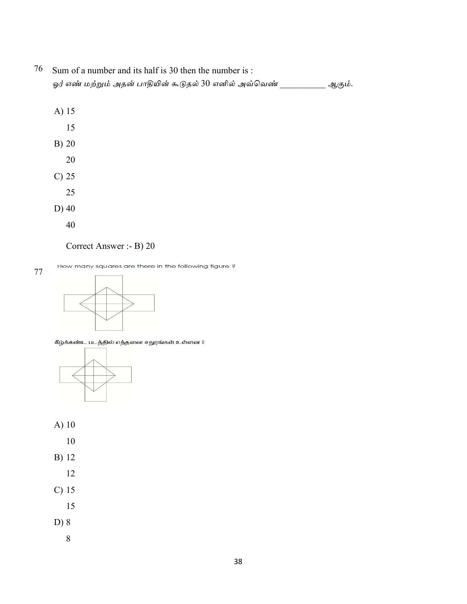## 76 Sum of a number and its half is 30 then the number is : ஓர் எண் மற்றும் அதன் பாதியின் கூடுதல் 30 எனில் அவ்வெண் \_\_\_\_\_\_\_\_\_\_ ஆகும்.

- A) 15
	- 15
- B) 20
	- 20
- $C)$  25
	- 25
- $D)$  40

 $77\,$ 

40

## Correct Answer :- B) 20

How many squares are there in the following figure?



கீழ்க்கண்ட படத்தில் எத்தனை சதுரங்கள் உள்ளன ?



- $A)$  10
	- 10
- **B**) 12
	- 12
- $C)$  15
- 15
- D) 8
	- 8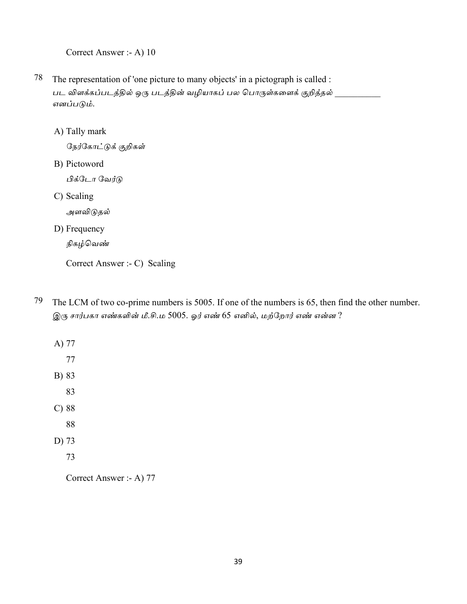Correct Answer :- A) 10

- $78\,$ The representation of 'one picture to many objects' in a pictograph is called : பட விளக்கப்படத்தில் ஒரு படத்தின் வழியாகப் பல பொருள்களைக் குறித்தல் எனப்படும்.
	- A) Tally mark

நேர்கோட்டுக் குறிகள்

B) Pictoword

பிக்டோ வேர்டு

C) Scaling

அளவிடுதல்

D) Frequency

நிகழ்வெண்

Correct Answer :- C) Scaling

79 The LCM of two co-prime numbers is 5005. If one of the numbers is 65, then find the other number. இரு சார்பகா எண்களின் மீ.சி.ம 5005. ஓர் எண் 65 எனில், மற்றோர் எண் என்ன ?

Correct Answer :- A) 77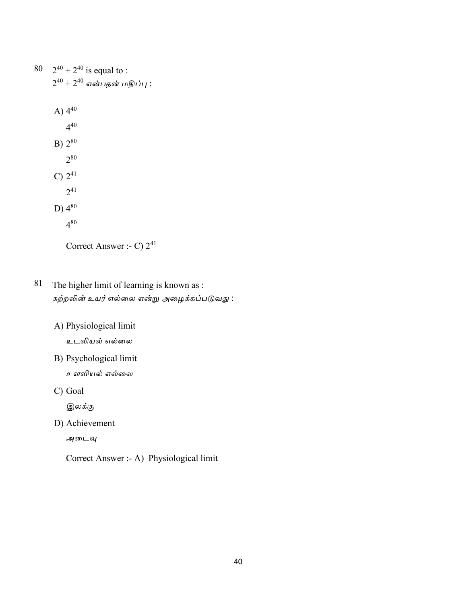80  $2^{40} + 2^{40}$  is equal to :  $2^{40} + 2^{40}$  என்பதன் மதிப்பு : A)  $4^{40}$  $4^{40}$  $B) 2^{80}$  $2^{80}$ C)  $2^{41}$  $2^{41}$ D)  $4^{80}$  $4^{80}$ Correct Answer :- C)  $2^{41}$ 

81 The higher limit of learning is known as : கற்றலின் உயர் எல்லை என்று அழைக்கப்படுவது :

A) Physiological limit

உடலியல் எல்லை

B) Psychological limit

உளவியல் எல்லை

C) Goal

இலக்கு

D) Achievement

அடைவு

Correct Answer :- A) Physiological limit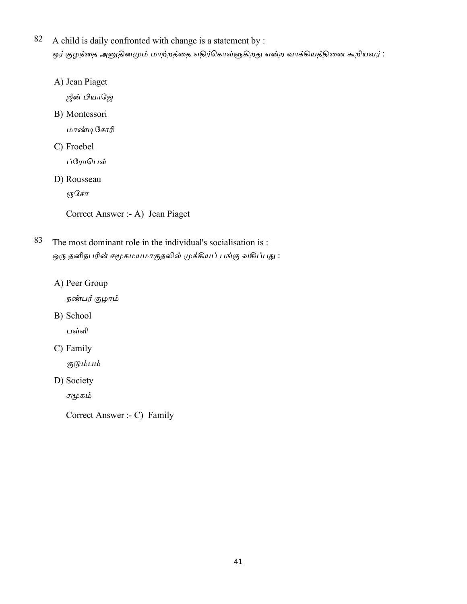- 82 A child is daily confronted with change is a statement by : ஓர் குழந்தை அனுதினமும் மாற்றத்தை எதிர்கொள்ளுகிறது என்ற வாக்கியத்தினை கூறியவர் :
	- A) Jean Piaget

ஜீன் பியாஜே

B) Montessori

மாண்டிசோரி

C) Froebel

ப்ரோபெல்

D) Rousseau

ர**ந**சோ

Correct Answer :- A) Jean Piaget

- 83 The most dominant role in the individual's socialisation is : ஒரு தனிநபரின் சமூகமயமாகுதலில் முக்கியப் பங்கு வகிப்பது :
	- A) Peer Group

நண்பர் குழாம்

B) School

பள்ளி

C) Family

குடும்பம்

D) Society

சமூகம்

Correct Answer :- C) Family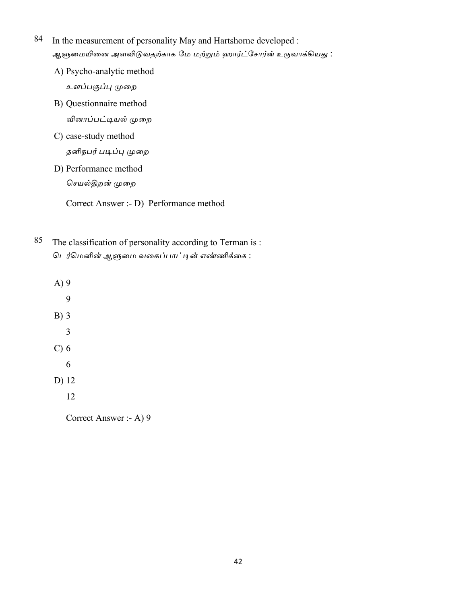- 84 In the measurement of personality May and Hartshorne developed : ஆளுமையினை அளவிடுவதற்காக மே மற்றும் ஹார்ட்சோர்ன் உருவாக்கியது :
	- A) Psycho-analytic method

உளப்பகுப்பு முறை

- B) Questionnaire method வினாப்பட்டியல் முறை
- C) case-study method தனிநபர் படிப்பு முறை
- D) Performance method

செயல்திறன் முறை

Correct Answer :- D) Performance method

- 85 The classification of personality according to Terman is: டெர்மெனின் ஆளுமை வகைப்பாட்டின் எண்ணிக்கை :
	- $A)9$ 9  $B)$  3  $\overline{3}$  $C$ ) 6 6 D) 12 12

Correct Answer :- A) 9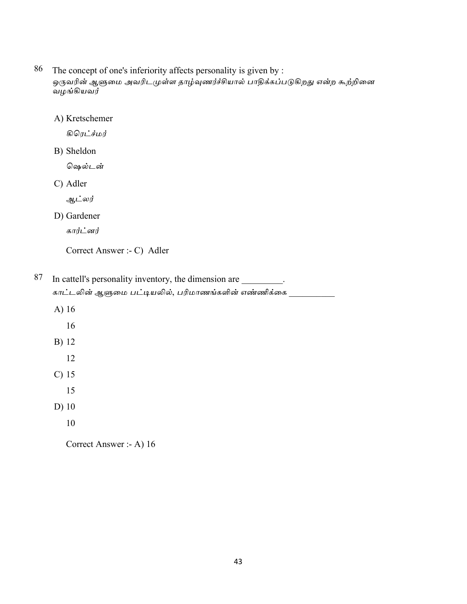- 86 The concept of one's inferiority affects personality is given by : ஒருவரின் ஆளுமை அவரிடமுள்ள தாழ்வுணர்ச்சியால் பாதிக்கப்படுகிறது என்ற கூற்றினை வழங்கியவர்
	- A) Kretschemer

கிரெட்ச்மர்

B) Sheldon

ஷெல்டன்

C) Adler

ஆட்லர்

D) Gardener

கார்ட்னர்

Correct Answer :- C) Adler

87 In cattell's personality inventory, the dimension are \_\_\_\_\_\_\_\_\_. காட்டலின் ஆளுமை பட்டியலில், பரிமாணங்களின் எண்ணிக்கை <sub>.</sub>

- A) 16
	- 16
- B) 12
	- 12
- $C)$  15
	- 15
- $D)$  10
	- 10

Correct Answer :- A) 16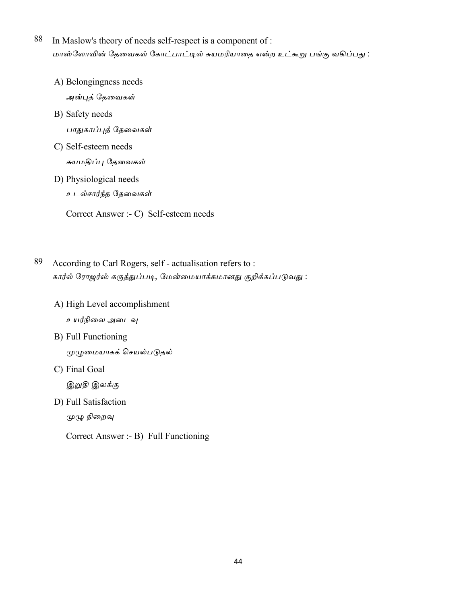- 88 In Maslow's theory of needs self-respect is a component of : மாஸ்லோவின் தேவைகள் கோட்பாட்டில் சுயமரியாதை என்ற உட்கூறு பங்கு வகிப்பது :
	- A) Belongingness needs

அன்புத் தேவைகள்

B) Safety needs

பாதுகாப்புத் தேவைகள்

- C) Self-esteem needs சுயமதிப்பு தேவைகள்
- D) Physiological needs

உடல்சார்ந்த தேவைகள்

Correct Answer :- C) Self-esteem needs

- 89 According to Carl Rogers, self - actualisation refers to: கார்ல் ரோஜர்ஸ் கருத்துப்படி, மேன்மையாக்கமானது குறிக்கப்படுவது :
	- A) High Level accomplishment உயர்நிலை அடைவு
	- B) Full Functioning முழுமையாகக் செயல்படுதல்
	- C) Final Goal

இறுதி இலக்கு

D) Full Satisfaction

முழு நிறைவு

Correct Answer :- B) Full Functioning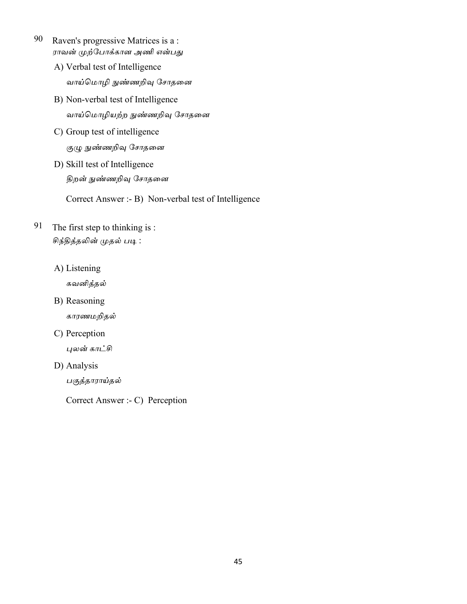- 90 Raven's progressive Matrices is a: ராவன் முற்போக்கான அணி என்பது
	- A) Verbal test of Intelligence வாய்மொழி நுண்ணறிவு சோதனை
	- B) Non-verbal test of Intelligence வாய்மொழியற்ற நுண்ணறிவு சோதனை
	- C) Group test of intelligence குழு நுண்ணறிவு சோதனை
	- D) Skill test of Intelligence திறன் நுண்ணறிவு சோதனை

Correct Answer :- B) Non-verbal test of Intelligence

- 91 The first step to thinking is: சிந்தித்தலின் முதல் படி :
	- A) Listening

கவனித்தல்

B) Reasoning

காரணமறிதல்

C) Perception

புலன் காட்சி

D) Analysis

பகுத்தாராய்தல்

Correct Answer :- C) Perception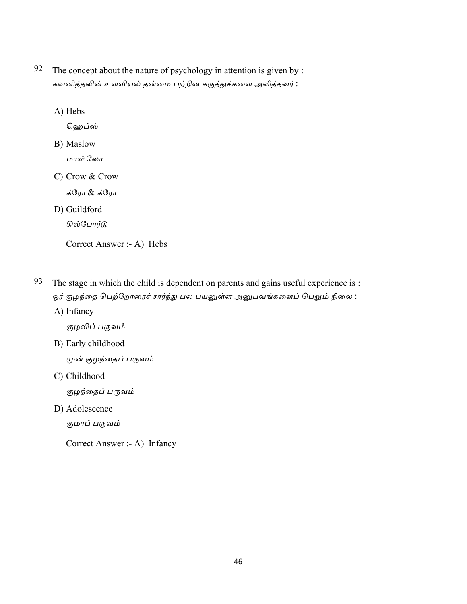92 The concept about the nature of psychology in attention is given by : கவனித்தலின் உளவியல் தன்மை பற்றின கருத்துக்களை அளித்தவர் :

A) Hebs

ஹெப்ஸ்

- B) Maslow மாஸ்லோ
- C) Crow & Crow

க்ரோ & க்ரோ

D) Guildford

கில்போர்டு

Correct Answer :- A) Hebs

- 93 The stage in which the child is dependent on parents and gains useful experience is : ஓர் குழந்தை பெற்றோரைச் சார்ந்து பல பயனுள்ள அனுபவங்களைப் பெறும் நிலை :
	- A) Infancy

குழவிப் பருவம்

B) Early childhood

முன் குழந்தைப் பருவம்

C) Childhood

குழந்தைப் பருவம்

D) Adolescence

குமரப் பருவம்

Correct Answer :- A) Infancy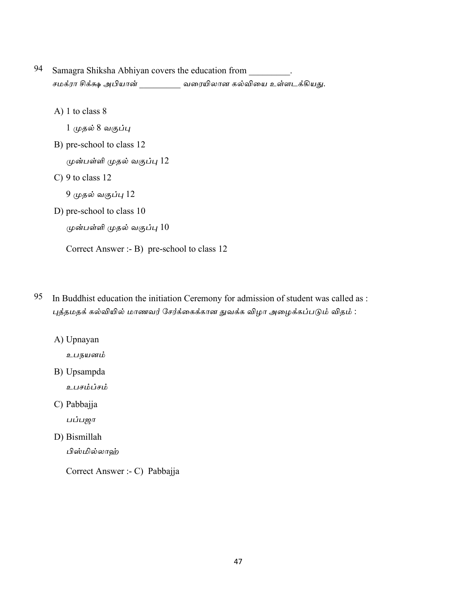- 94 Samagra Shiksha Abhiyan covers the education from . சமக்ரா சிக்க்ஷ அபியான் \_\_\_\_\_\_\_\_\_\_ வரையிலான கல்வியை உள்ளடக்கியது.
	- A) 1 to class  $8$

1 முதல் 8 வகுப்பு

B) pre-school to class 12

முன்பள்ளி முதல் வகுப்பு 12

 $C$ ) 9 to class 12

9 முதல் வகுப்பு 12

D) pre-school to class 10

```
முன்பள்ளி முதல் வகுப்பு 10
```
Correct Answer :- B) pre-school to class 12

- 95 In Buddhist education the initiation Ceremony for admission of student was called as : புத்தமதக் கல்வியில் மாணவர் சேர்க்கைக்கான துவக்க விழா அழைக்கப்படும் விதம் :
	- A) Upnayan
		- உபநயனம்
	- B) Upsampda
		- உபசம்ப்சம்
	- C) Pabbajja

பப்பஜா

D) Bismillah

பிஸ்மில்லாஹ்

Correct Answer :- C) Pabbajja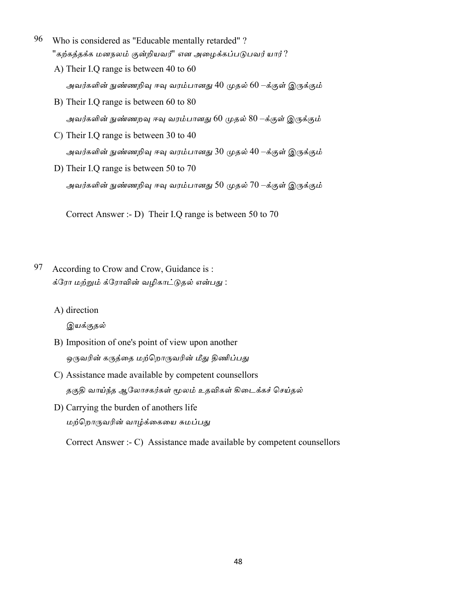- 96 Who is considered as "Educable mentally retarded"? "கற்கத்தக்க மனநலம் குன்றியவர்" என அழைக்கப்படுபவர் யார் ?
	- A) Their I.Q range is between 40 to 60 அவர்களின் நுண்ணறிவு ஈவு வரம்பானது 40 முதல் 60 –க்குள் இருக்கும்
	- B) Their I.Q range is between 60 to 80 அவர்களின் நுண்ணறவு ஈவு வரம்பானது 60 முதல் 80 –க்குள் இருக்கும்
	- C) Their I.Q range is between 30 to 40 அவர்களின் நுண்ணறிவு ஈவு வரம்பானது 30 முதல் 40 –க்குள் இருக்கும்
	- D) Their I.Q range is between 50 to 70 அவர்களின் நுண்ணறிவு ஈவு வரம்பானது 50 முதல் 70 –க்குள் இருக்கும்

Correct Answer :- D) Their I.Q range is between 50 to 70

- 97 According to Crow and Crow, Guidance is: க்ரோ மற்றும் க்ரோவின் வழிகாட்டுதல் என்பது :
	- A) direction

இயக்குதல்

- B) Imposition of one's point of view upon another ஒருவரின் கருத்தை மற்றொருவரின் மீது திணிப்பது
- C) Assistance made available by competent counsellors தகுதி வாய்ந்த ஆலோசகர்கள் மூலம் உதவிகள் கிடைக்கச் செய்தல்
- D) Carrying the burden of anothers life மற்றொருவரின் வாழ்க்கையை சுமப்பது

Correct Answer :- C) Assistance made available by competent counsellors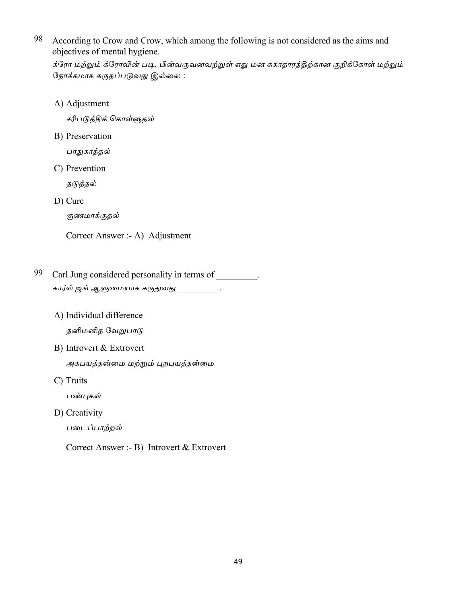98 According to Crow and Crow, which among the following is not considered as the aims and objectives of mental hygiene.

க்ரோ மற்றும் க்ரோவின் படி, பின்வருவனவற்றுள் எது மன சுகாதாரத்திற்கான குறிக்கோள் மற்றும் நோக்கமாக கருதப்படுவது இல்லை :

A) Adjustment

சரிபடுத்திக் கொள்ளுதல்

B) Preservation

பாதுகாத்தல்

C) Prevention

தடுத்தல்

D) Cure

குணமாக்குதல்

Correct Answer :- A) Adjustment

- 99 Carl Jung considered personality in terms of . கார்ல் ஜங் ஆளுமையாக கருதுவது \_\_\_\_\_\_\_\_\_\_.
	- A) Individual difference தனிமனித வேறுபாடு
	- B) Introvert & Extrovert

அகபயத்தன்மை மற்றும் புறபயத்தன்மை

C) Traits

பண்புகள்

D) Creativity

படைப்பாற்றல்

Correct Answer :- B) Introvert & Extrovert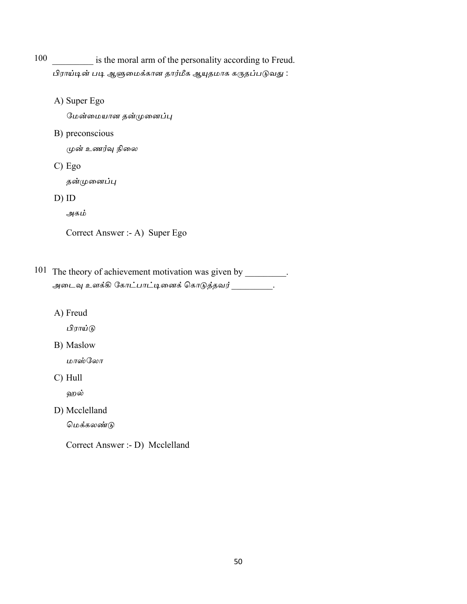100 is the moral arm of the personality according to Freud. பிராய்டின் படி ஆளுமைக்கான தார்மீக ஆயுதமாக கருதப்படுவது :

A) Super Ego

மேன்மையான தன்முனைப்பு

B) preconscious

முன் உணர்வு நிலை

 $C) Ego$ 

தன்முனைப்பு

 $D)$  ID

அகம்

```
Correct Answer :- A) Super Ego
```
101 The theory of achievement motivation was given by \_\_\_\_\_\_\_\_. அடைவு உளக்கி கோட்பாட்டினைக் கொடுத்தவர் \_\_\_\_\_\_\_\_\_.

A) Freud

பிராய்டு

B) Maslow

மாஸ்லோ

 $C)$  Hull

ஹல்

D) Mcclelland

மெக்கலண்டு

Correct Answer :- D) Mcclelland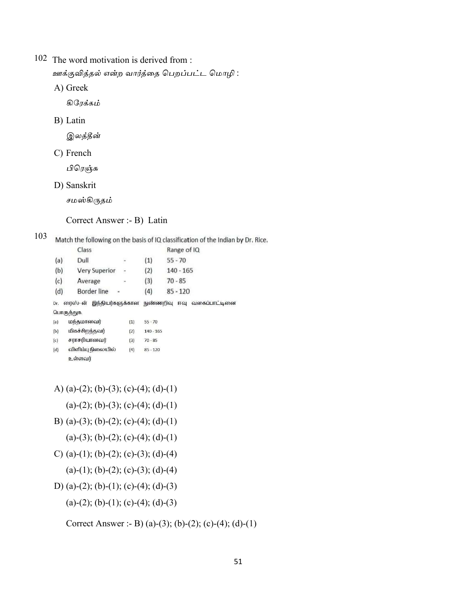102 The word motivation is derived from :

ஊக்குவித்தல் என்ற வார்த்தை பெறப்பட்ட மொழி :

A) Greek

கிரேக்கம்

B) Latin

இலத்தீன்

C) French

பிரெஞ்சு

D) Sanskrit

சமஸ்கிருதம்

Correct Answer :- B) Latin

103 Match the following on the basis of IQ classification of the Indian by Dr. Rice.

|     | Class                       |                          |             | Range of IQ                  |
|-----|-----------------------------|--------------------------|-------------|------------------------------|
| (a) | Dull                        |                          | (1)         | $55 - 70$                    |
| (b) | <b>Very Superior</b>        | ÷,                       | (2)         | $140 - 165$                  |
| (c) | Average                     | $\overline{\phantom{a}}$ | (3)         | $70 - 85$                    |
| (d) | Border line                 |                          | (4)         | $85 - 120$                   |
| Dr. | ரைஸ்-ன்<br>இந்தியர்களுக்கான |                          | நுண்ணறிவு   | வகைப்பாட்டினை<br><b>FF61</b> |
|     | பொருத்துக.                  |                          |             |                              |
| (a) | மந்தமானவர்                  | (1)                      | $55 - 70$   |                              |
| (b) | மிகச்சிறந்தவர்              | (2)                      | $140 - 165$ |                              |
| (c) | சராசரியானவர்                | (3)                      | $70 - 85$   |                              |
| (d) | விளிம்பு நிலையில்           | (4)                      | $85 - 120$  |                              |
|     | உள்ளவர்                     |                          |             |                              |

- A) (a)-(2); (b)-(3); (c)-(4); (d)-(1)
	- (a)-(2); (b)-(3); (c)-(4); (d)-(1)
- B) (a)-(3); (b)-(2); (c)-(4); (d)-(1)
	- (a)-(3); (b)-(2); (c)-(4); (d)-(1)
- C) (a)-(1); (b)-(2); (c)-(3); (d)-(4)
	- (a)-(1); (b)-(2); (c)-(3); (d)-(4)
- D) (a)-(2); (b)-(1); (c)-(4); (d)-(3)
	- (a)-(2); (b)-(1); (c)-(4); (d)-(3)

Correct Answer :- B) (a)-(3); (b)-(2); (c)-(4); (d)-(1)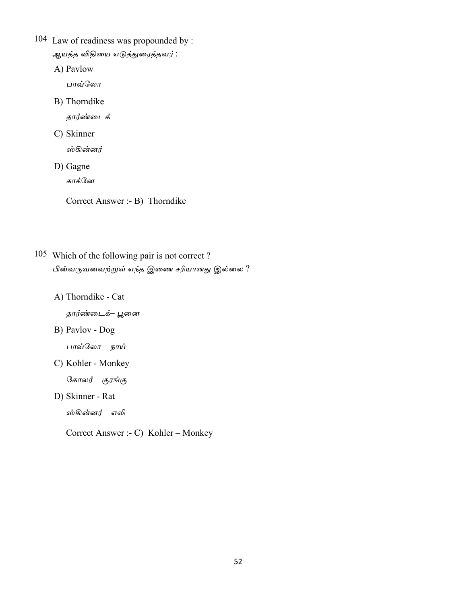- 104 Law of readiness was propounded by : ஆயத்த விதியை எடுத்துரைத்தவர் :
	- A) Pavlow

பாவ்லோ

B) Thorndike

தார்ண்டைக்

C) Skinner

ஸ்கின்னர்

D) Gagne

காக்னே

Correct Answer :- B) Thorndike

- 105 Which of the following pair is not correct? பின்வருவனவற்றுள் எந்த இணை சரியானது இல்லை?
	- A) Thorndike Cat

தார்ண்டைக்– பூனை

B) Pavlov - Dog

பாவ்லோ – நாய்

C) Kohler - Monkey

கோலர்– குரங்கு

D) Skinner - Rat

ஸ்கின்னர் – எலி

Correct Answer :- C) Kohler - Monkey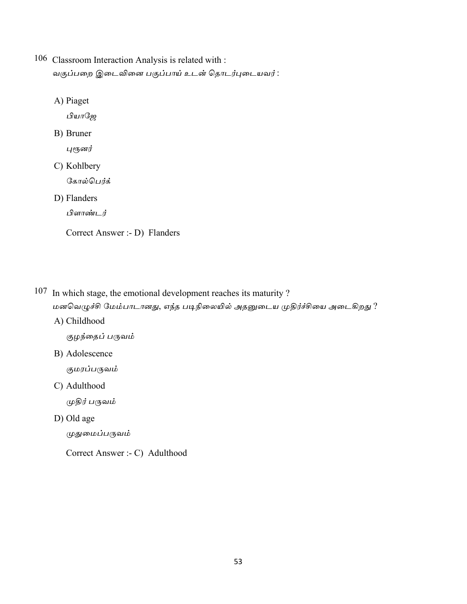- 106 Classroom Interaction Analysis is related with : வகுப்பறை இடைவினை பகுப்பாய் உடன் தொடர்புடையவர் :
	- A) Piaget

பியாஜே

B) Bruner

புரூனர்

C) Kohlbery

கோல்பெர்க்

D) Flanders

பிளாண்டர்

Correct Answer :- D) Flanders

107 In which stage, the emotional development reaches its maturity?

மனவெழுச்சி மேம்பாடானது, எந்த படிநிலையில் அதனுடைய முதிர்ச்சியை அடைகிறது ?

A) Childhood

குழந்தைப் பருவம்

B) Adolescence

குமரப்பருவம்

C) Adulthood

முதிர் பருவம்

D) Old age

முதுமைப்பருவம்

Correct Answer :- C) Adulthood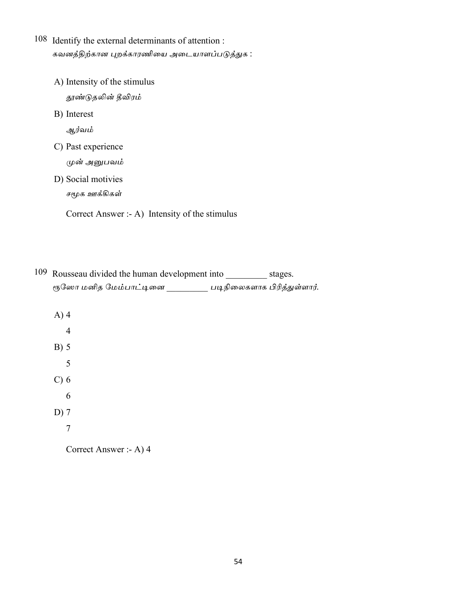- 108 Identify the external determinants of attention : கவனத்திற்கான புறக்காரணியை அடையாளப்படுத்துக :
	- A) Intensity of the stimulus தூண்டுதலின் தீவிரம் B) Interest ஆர்வம் C) Past experience முன் அனுபவம் D) Social motivies சமூக ஊக்கிகள்

Correct Answer :- A) Intensity of the stimulus

| 109 Rousseau divided the human development into |                             | stages. |
|-------------------------------------------------|-----------------------------|---------|
| ரூஸோ மனித மேம்பாட்டினை                          | படிநிலைகளாக பிரித்துள்ளார். |         |

 $A)$ 4  $\overline{4}$  $B) 5$ 5  $C$ ) 6 6  $D)$  7  $\overline{7}$ 

Correct Answer :- A) 4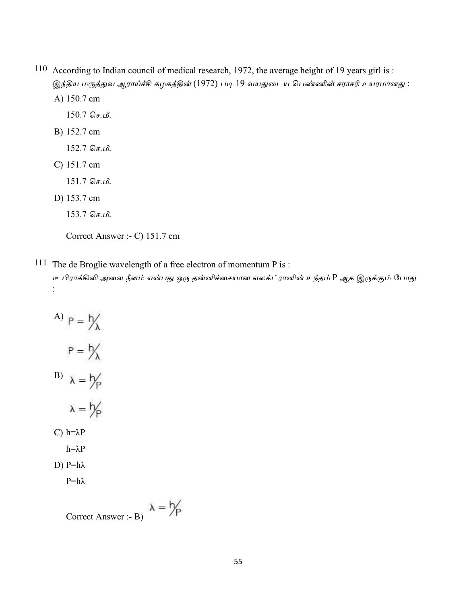110 According to Indian council of medical research, 1972, the average height of 19 years girl is : இந்திய மருத்துவ ஆராய்ச்சி கழகத்தின் (1972) படி 19 வயதுடைய பெண்ணின் சராசரி உயரமானது : A) 150.7 cm

 $150.7$  செ.மீ.

B) 152.7 cm

 $152.7$  செ.மீ.

C) 151.7 cm

 $151.7$  செ.மீ.

D) 153.7 cm

 $153.7$  செ.மீ.

Correct Answer :- C) 151.7 cm

111 The de Broglie wavelength of a free electron of momentum P is :

டீ பிராக்கிலி அலை நீளம் என்பது ஒரு தன்னிச்சையான எலக்ட்ரானின் உந்தம் P ஆக இருக்கும் போது  $\ddot{\cdot}$ 

A)  $P = \frac{1}{\lambda}$  $P = \frac{h}{\lambda}$  $\alpha = \frac{b}{p}$  $\lambda = \frac{h}{p}$ C)  $h=\lambda P$  $h = \lambda P$ D)  $P=h\lambda$ 

 $P=h\lambda$ 

$$
Correct \; Answer: B) \quad \lambda = \frac{h}{p}
$$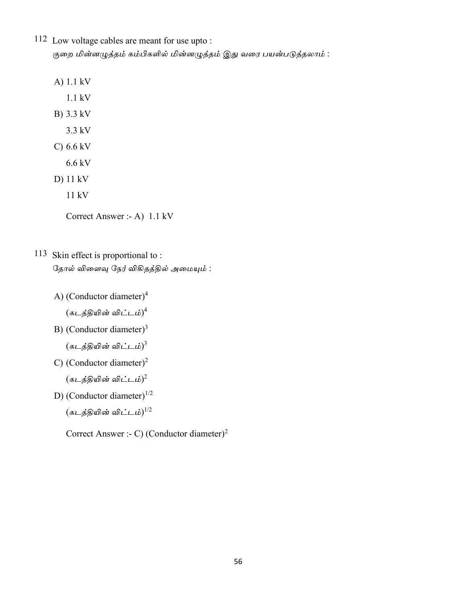- 112 Low voltage cables are meant for use upto: குறை மின்னழுத்தம் கம்பிகளில் மின்னழுத்தம் இது வரை பயன்படுத்தலாம் :
	- A) 1.1 kV
		- $1.1 \text{ kV}$
	- B) 3.3 kV
		- 3.3 kV
	- C)  $6.6 \text{ kV}$ 
		- $6.6$  kV
	- $D)$  11 kV
		- $11 kV$

Correct Answer :- A) 1.1 kV

- 113 Skin effect is proportional to: தோல் விளைவு நேர் விகிதத்தில் அமையும் :
	- A) (Conductor diameter)<sup>4</sup>

 $(s$ டத்தியின் விட்டம்) $^4$ 

B) (Conductor diameter)<sup>3</sup>

 $(s$ டத்தியின் விட்டம்) $^{3}$ 

C) (Conductor diameter)<sup>2</sup>

(கடத்தியின் விட்டம்) $^2$ 

- D) (Conductor diameter) $^{1/2}$ 
	- $(\overline{s}$ டத்தியின் விட்டம்) $^{1/2}$

Correct Answer :- C) (Conductor diameter)<sup>2</sup>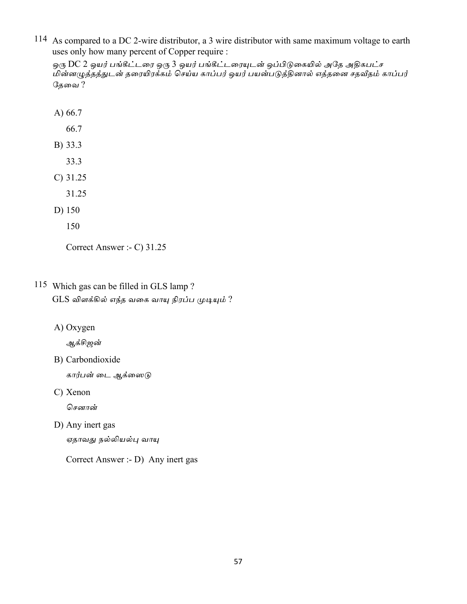114 As compared to a DC 2-wire distributor, a 3 wire distributor with same maximum voltage to earth uses only how many percent of Copper require :

ஒரு DC 2 ஒயர் பங்கீட்டரை ஒரு 3 ஒயர் பங்கீட்டரையுடன் ஒப்பிடுகையில் அதே அதிகபட்ச .<br>மின்னழுத்தத்துடன் தரையிரக்கம் செய்ய காப்பர் ஒயர் பயன்படுத்தினால் எத்தனை சதவீதம் காப்பர் தேவை ?

- A) 66.7
	- 66.7
- B) 33.3
	- 33.3
- $C)$  31.25
	- 31.25
- D) 150
	- 150

Correct Answer :- C) 31.25

- 115 Which gas can be filled in GLS lamp? GLS விளக்கில் எந்த வகை வாயு நிரப்ப முடியும் ?
	- A) Oxygen

ஆக்சிஜன்

B) Carbondioxide

கார்பன் டை ஆக்ஸைடு

C) Xenon

சௌான்

D) Any inert gas

ஏதாவது நல்லியல்பு வாயு

Correct Answer :- D) Any inert gas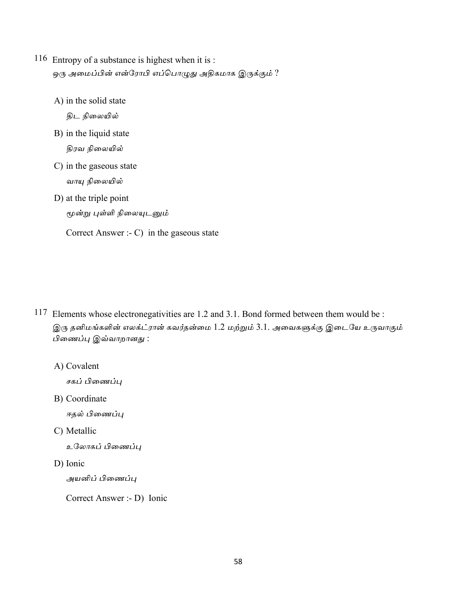- 116 Entropy of a substance is highest when it is : ஒரு அமைப்பின் என்ரோபி எப்பொழுது அதிகமாக இருக்கும் ?
	- A) in the solid state

திட நிலையில்

B) in the liquid state

திரவ நிலையில்

- C) in the gaseous state வாயு நிலையில்
- D) at the triple point

மூன்று புள்ளி நிலையுடனும்

Correct Answer :-  $C$ ) in the gaseous state

- 117 Elements whose electronegativities are 1.2 and 3.1. Bond formed between them would be : இரு தனிமங்களின் எலக்ட்ரான் கவர்தன்மை 1.2 மற்றும் 3.1. அவைகளுக்கு இடையே உருவாகும் பிணைப்பு இவ்வாறானது:
	- A) Covalent

சகப் பிணைப்பு

B) Coordinate

ஈதல் பிணைப்பு

C) Metallic

உலோகப் பிணைப்பு

D) Ionic

அயனிப் பிணைப்பு

Correct Answer :- D) Ionic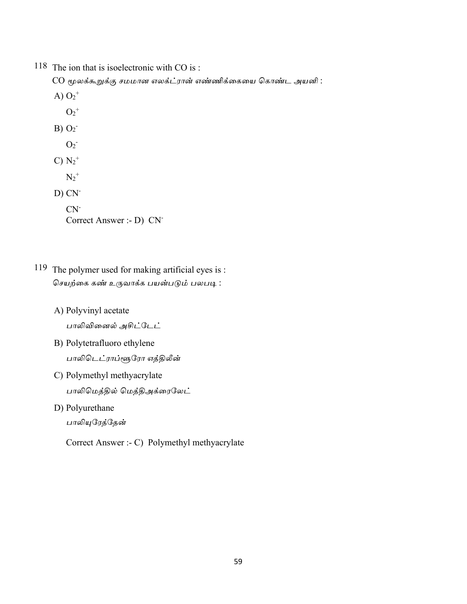118 The ion that is isoelectronic with CO is :

 $CO$  மூலக்கூறுக்கு சமமான எலக்ட்ரான் எண்ணிக்கையை கொண்ட அயனி :

- A)  $O_2^+$ 
	- $O_2^+$
- $B) O<sub>2</sub>$ 
	- $O<sub>2</sub>$
- $C) N_2^+$ 
	- $N_2^+$
- $D) CN^-$

 $CN<sup>-</sup>$ Correct Answer :- D) CN<sup>-</sup>

- 119 The polymer used for making artificial eyes is : .<br>செயற்கை கண் உருவாக்க பயன்படும் பலபடி :
	- A) Polyvinyl acetate

பாலிவினைல் அசிட்டேட்

- B) Polytetrafluoro ethylene பாலிடெட்ராப்ளூரோ எத்திலீன்
- C) Polymethyl methyacrylate பாலிமெத்தில் மெத்திஅக்ரைலேட்
- D) Polyurethane

பாலியுரேத்தேன்

Correct Answer :- C) Polymethyl methyacrylate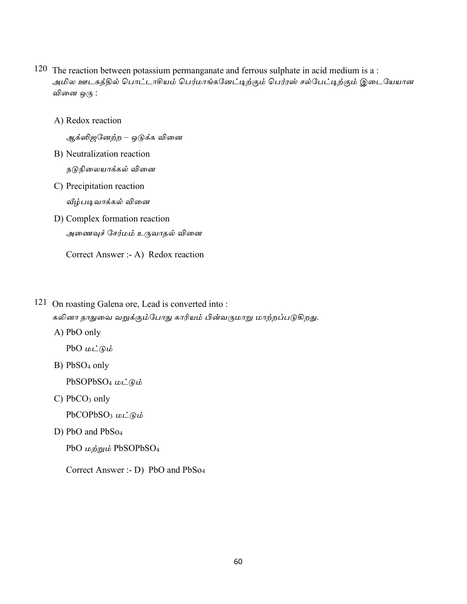- 120 The reaction between potassium permanganate and ferrous sulphate in acid medium is a : அமில ஊடகத்தில் பொட்டாசியம் பெர்மாங்கனேட்டிற்கும் பெர்ரஸ் சல்பேட்டிற்கும் இடையேயான வினை ஒரு :
	- A) Redox reaction

ஆக்ஸிஜனேற்ற – ஒடுக்க வினை

- B) Neutralization reaction நடுநிலையாக்கல் வினை
- C) Precipitation reaction வீழ்படிவாக்கல் வினை
- D) Complex formation reaction அணைவுச் சேர்மம் உருவாதல் வினை

Correct Answer :- A) Redox reaction

121 On roasting Galena ore, Lead is converted into:

கலினா தாதுவை வறுக்கும்போது காரியம் பின்வருமாறு மாற்றப்படுகிறது.

A) PbO only

PbO  $\omega \angle \omega$ 

B) PbSO<sub>4</sub> only

PbSOPbSO<sub>4</sub>  $\mu\text{L}\widehat{\theta}$ 

 $C)$  PbCO<sub>3</sub> only

PbCOPbSO<sub>3</sub>  $\mu\text{L}\odot\text{L}$ 

D) PbO and PbSo<sub>4</sub>

PbO மற்றும் PbSOPbSO<sub>4</sub>

Correct Answer :- D) PbO and PbSo<sub>4</sub>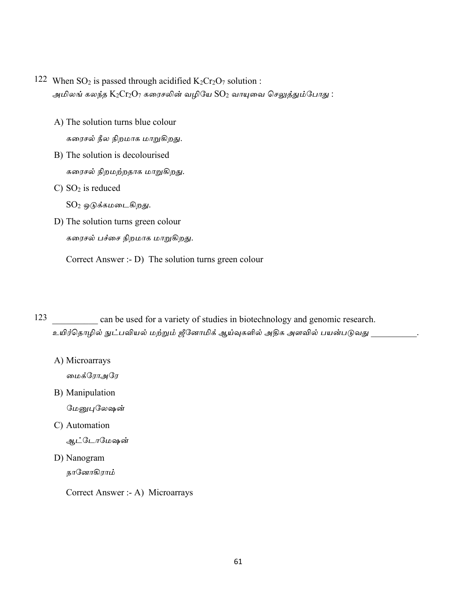- 122 When SO<sub>2</sub> is passed through acidified  $K_2Cr_2O_7$  solution : அமிலங் கலந்த  $\text{K}_2\text{Cr}_2\text{O}_7$  கரைசலின் வழியே  $\text{SO}_2$  வாயுவை செலுத்தும்போது :
	- A) The solution turns blue colour கரைசல் நீல நிறமாக மாறுகிறது.
	- B) The solution is decolourised கரைசல் நிறமற்றதாக மாறுகிறது.
	- C)  $SO<sub>2</sub>$  is reduced
		- $SO<sub>2</sub>$  ஒடுக்கமடைகிறது.
	- D) The solution turns green colour கரைசல் பச்சை நிறமாக மாறுகிறது.

Correct Answer :- D) The solution turns green colour

123 can be used for a variety of studies in biotechnology and genomic research. உயிர்தொழில் நுட்பவியல் மற்றும் ஜீனோமிக் ஆய்வுகளில் அதிக அளவில் பயன்படுவது

A) Microarrays

மைக்ரோஅரே

B) Manipulation

மேனுபுலேஷன்

C) Automation

ஆட்டோமேஷன்

D) Nanogram

நானோகிராம்

Correct Answer :- A) Microarrays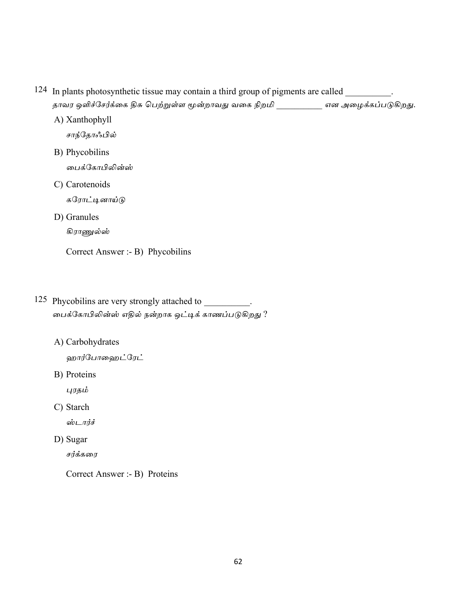- 124 In plants photosynthetic tissue may contain a third group of pigments are called \_\_\_\_\_\_\_\_. தாவர ஒளிச்சேர்க்கை திசு பெற்றுள்ள மூன்றாவது வகை நிறமி \_\_\_\_\_\_\_\_\_\_ என அழைக்கப்படுகிறது.
	- A) Xanthophyll சாந்தோஃபில் B) Phycobilins பைக்கோபிலின்ஸ் C) Carotenoids கரோட்டினாய்டு D) Granules கிராணுல்ஸ் Correct Answer :- B) Phycobilins
- 125 Phycobilins are very strongly attached to \_\_\_\_\_\_\_\_\_\_\_. பைக்கோபிலின்ஸ் எதில் நன்றாக ஒட்டிக் காணப்படுகிறது ?
	- A) Carbohydrates

ஹார்போஹைட்ரேட்

B) Proteins

புரதம்

C) Starch

ஸ்டார்ச்

D) Sugar

சர்க்கரை

Correct Answer :- B) Proteins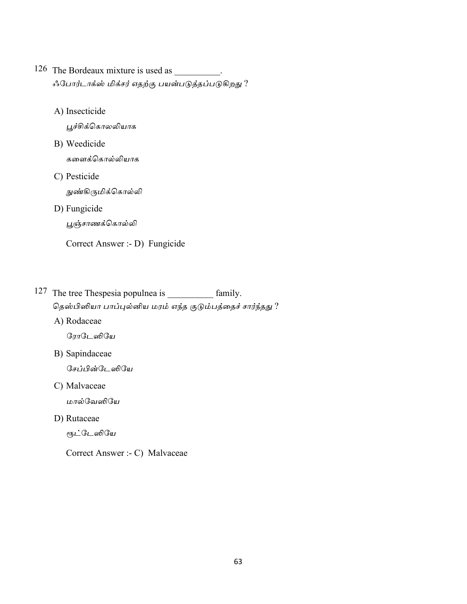- 126 The Bordeaux mixture is used as \_\_\_\_\_\_\_\_\_. ஃபோர்டாக்ஸ் மிக்சர் எதற்கு பயன்படுத்தப்படுகிறது ?
	- A) Insecticide

பூச்சிக்கொலலியாக

- B) Weedicide களைக்கொல்லியாக
- C) Pesticide

நுண்கிருமிக்கொல்லி

D) Fungicide

பூஞ்சாணக்கொல்லி

Correct Answer :- D) Fungicide

- 127 The tree Thespesia populnea is \_\_\_\_\_\_\_\_\_\_ family. தெஸ்பிஸியா பாப்புல்னிய மரம் எந்த குடும்பத்தைச் சார்ந்தது ?
	- A) Rodaceae

ரோடேஸியே

B) Sapindaceae

சேப்பின்டேஸியே

C) Malvaceae

மால்வேஸியே

D) Rutaceae

ரூட்டேஸியே

Correct Answer :- C) Malvaceae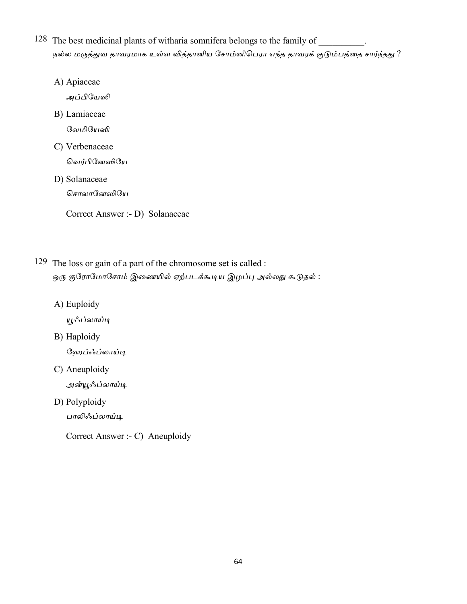- 128 The best medicinal plants of witharia somnifera belongs to the family of நல்ல மருத்துவ தாவரமாக உள்ள வித்தானிய சோம்னிபெரா எந்த தாவரக் குடும்பத்தை சார்ந்தது ?
	- A) Apiaceae

அப்பியேஸி

B) Lamiaceae

லேமியேஸி

C) Verbenaceae

வெர்பினேஸியே

D) Solanaceae

சொலானேஸியே

Correct Answer :- D) Solanaceae

- 129 The loss or gain of a part of the chromosome set is called : ஒரு குரோமோசோம் இணையில் ஏற்படக்கூடிய இழப்பு அல்லது கூடுதல் :
	- A) Euploidy

யூஃப்லாய்டி

B) Haploidy

ஹேப்ஃப்லாய்டி

- C) Aneuploidy அன்யூஃப்லாய்டி
- D) Polyploidy

பாலிஃப்லாய்டி

Correct Answer :- C) Aneuploidy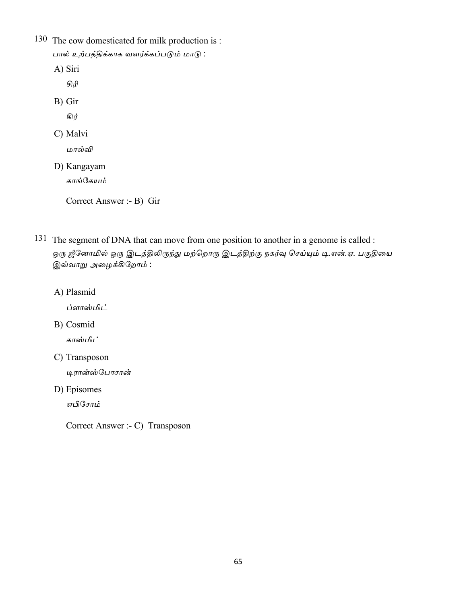130 The cow domesticated for milk production is : பால் உற்பத்திக்காக வளர்க்கப்படும் மாடு :

A) Siri

சிரி

B) Gir

கிர்

C) Malvi

மால்வி

D) Kangayam

காங்கேயம்

Correct Answer :- B) Gir

- 131 The segment of DNA that can move from one position to another in a genome is called : ஒரு ஜீனோமில் ஒரு இடத்திலிருந்து மற்றொரு இடத்திற்கு நகர்வு செய்யும் டி.என்.ஏ. பகுதியை இவ்வாறு அழைக்கிறோம்:
	- A) Plasmid

ப்ளாஸ்மிட்

B) Cosmid

காஸ்மிட்

C) Transposon

டிரான்ஸ்போசான்

D) Episomes

எபிசோம்

Correct Answer :- C) Transposon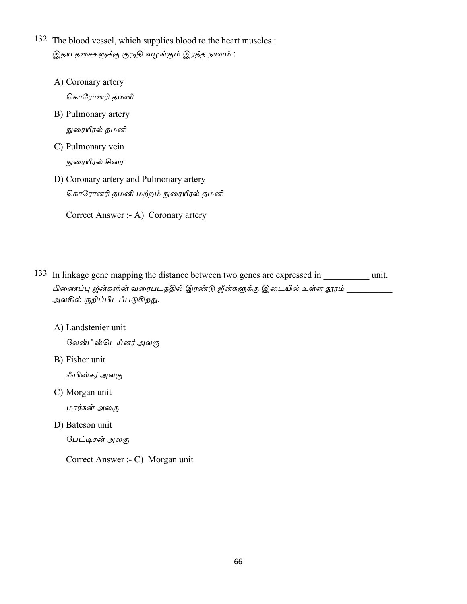- 132 The blood vessel, which supplies blood to the heart muscles : இதய தசைகளுக்கு குருதி வழங்கும் இரத்த நாளம் :
	- A) Coronary artery

கொரோனரி தமனி

- B) Pulmonary artery நுரையீரல் தமனி
- C) Pulmonary vein நுரையீரல் சிரை
- D) Coronary artery and Pulmonary artery

கொரோனரி தமனி மற்றம் நுரையீரல் தமனி

Correct Answer :- A) Coronary artery

- 133 In linkage gene mapping the distance between two genes are expressed in \_\_\_\_\_\_\_\_\_\_ unit. பிணைப்பு ஜீன்களின் வரைபடததில் இரண்டு ஜீன்களுக்கு இடையில் உள்ள தூரம் அலகில் குறிப்பிடப்படுகிறது.
	- A) Landstenier unit

லேன்ட்ஸ்டெய்னர் அலகு

B) Fisher unit

ஃபிஸ்சர் அலகு

C) Morgan unit

மார்கன் அலகு

D) Bateson unit

பேட்டிசன் அலகு

Correct Answer :- C) Morgan unit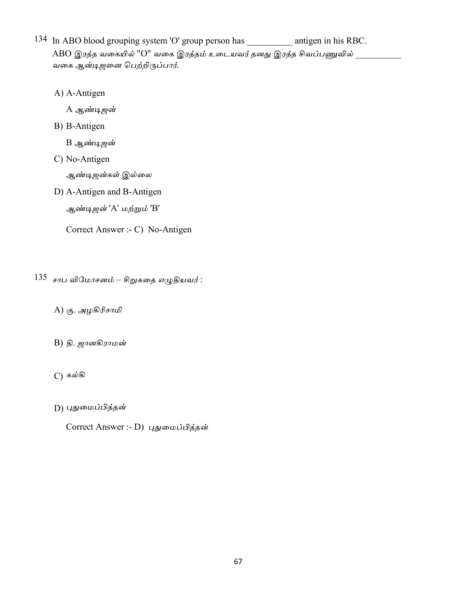134 In ABO blood grouping system 'O' group person has \_\_\_\_\_\_\_\_\_\_\_\_ antigen in his RBC. ABO இரத்த வகையில் "O" வகை இரத்தம் உடையவர் தனது இரத்த சிவப்பணுவில் வகை ஆன்டிஜனை பெற்றிருப்பார்.

A) A-Antigen

A ஆண்டிஜன்

B) B-Antigen

B ஆண்டிஜன்

C) No-Antigen

ஆண்டிஜன்கள் இல்லை

D) A-Antigen and B-Antigen

ஆண்டிஜன் 'A' மற்றும் 'B'

Correct Answer :- C) No-Antigen

- $135$  சாப விமோசனம் சிறுகதை எழுதியவர்:
	- A) கு. அழகிரிசாமி
	- $B)$  தி. ஜானகிராமன்
	- $C)$  கல்கி
	- D) புதுமைப்பித்தன்

Correct Answer :- D) புதுமைப்பித்தன்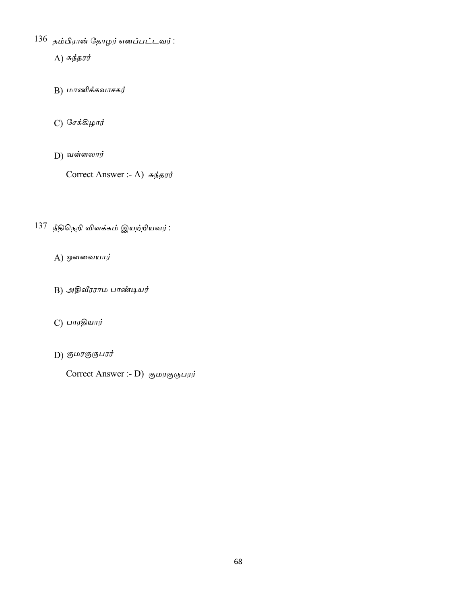- 136 தம்பிரான் தோழர் எனப்பட்டவர்:
	- $A)$  சுந்தரர்
	- $B)$  மாணிக்கவாசகர்
	- C) சேக்கிழார்
	- $D)$  வள்ளலார்

Correct Answer :- A) சுந்தரர்

- 137 நீதிநெறி விளக்கம் இயற்றியவர்:
	- $A)$  ஒளவையார்
	- B) அதிவீரராம பாண்டியர்
	- $C$ ) பாரதியார்
	- $D)$  குமரகுருபரர்
		- Correct Answer :- D) குமரகுருபரர்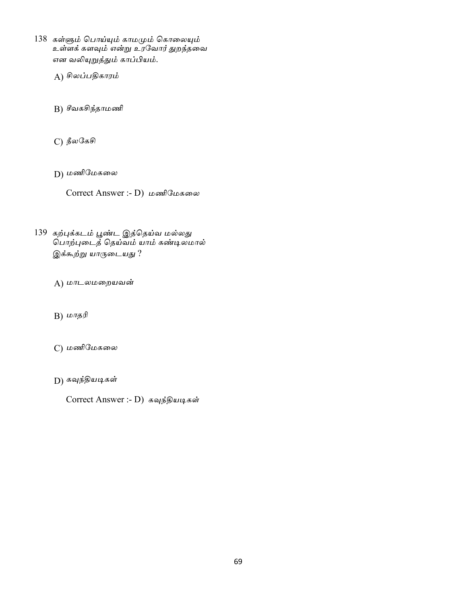- 138 கள்ளும் பொய்யும் காமமும் கொலையும் உள்ளக் களவும் என்று உரவோர் துறந்தவை என வலியுறுத்தும் காப்பியம்.
	- A) சிலப்பதிகாரம்
	- B) சீவகசிந்தாமணி
	- $\mathcal{C}$ ) நீலகேசி
	- D) மணிமேகலை
		- Correct Answer :- D) மணிமேகலை
- 139 கற்புக்கடம் பூண்ட இத்தெய்வ மல்லது <u>பொற்புடைத்</u> தெய்வம் யாம் கண்டிலமால் இக்கூற்று யாருடையது ?
	- A) மாடலமறையவன்
	- $B) \n *மாதரி*$
	- C) மணிமேகலை
	- D) கவுந்தியடிகள்
		- Correct Answer :- D) கவுந்தியடிகள்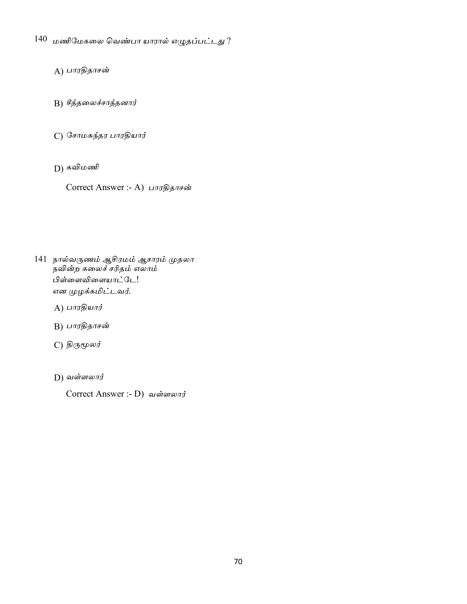- $140$  மணிமேகலை வெண்பா யாரால் எழுதப்பட்டது ?
	- A) பாரதிதாசன்
	- B) சீத்தலைச்சாத்தனார்
	- C) சோமசுந்தர பாரதியார்
	- D) கவிமணி
		- Correct Answer :- A) பாரதிதாசன்

- 141 நால்வருணம் ஆசிரமம் ஆசாரம் முதலா .<br>நவின்ற கலைச் சரிதம் எலாம் பிள்ளைவிளையாட்டே! என முழக்கமிட்டவர்.
	- $A)$  பாரதியார்
	- $B$ ) பாரதிதாசன்
	- C) திருமூலர்
	- $D)$  வள்ளலார்
		- Correct Answer :- D) வள்ளலார்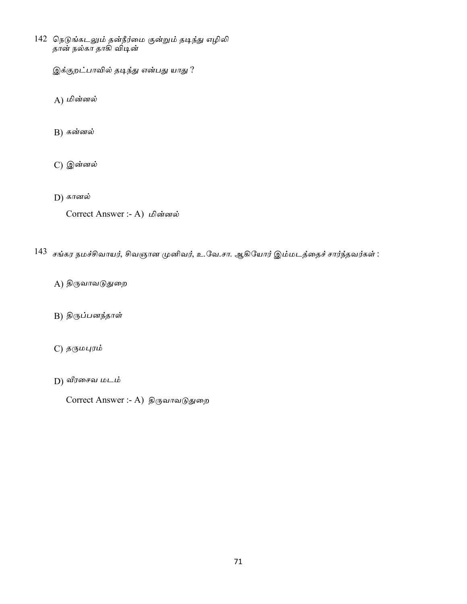142 நெடுங்கடலும் தன்நீர்மை குன்றும் தடிந்து எழிலி தான் நல்கா தாகி விடின்

இக்குறட்பாவில் தடிந்து என்பது யாது ?

A) மின்னல்

 $B)$  கன்னல்

- C) இன்னல்
- $D)$  கானல்

Correct Answer :- A) மின்னல்

- 143 சங்கர நமச்சிவாயர், சிவஞான முனிவர், உ.வே.சா. ஆகியோர் இம்மடத்தைச் சார்ந்தவர்கள் :
	- A) திருவாவடுதுறை
	- B) திருப்பனந்தாள்
	- C) தருமபுரம்
	- D) வீரசைவ மடம்
		- Correct Answer :- A) திருவாவடுதுறை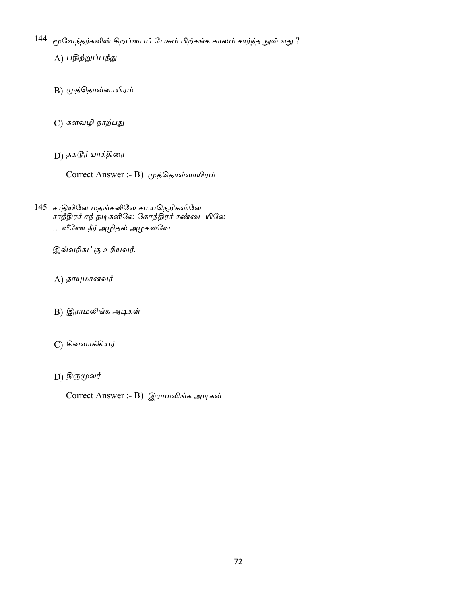$144$  மூவேந்தர்களின் சிறப்பைப் பேசும் பிற்சங்க காலம் சார்ந்த நூல் எது ?

A) பதிற்றுப்பத்து

- B) முத்தொள்ளாயிரம்
- C) களவழி நாற்பது
- D) தக*டூர்* யாத்திரை

Correct Answer :- В) முத்தொள்ளாயிரம்

145 சாதியிலே மதங்களிலே சமயநெறிகளிலே சாத்திரச் சந் தடிகளிலே கோத்திரச் சண்டையிலே …வீணே நீர் அழிதல் அழகலவே

இவ்வரிகட்கு உரியவர்.

 $A)$  தாயுமானவர்

- B) இராமலிங்க அடிகள்
- C) சிவவாக்கியர்
- D) திருமூலர்

Correct Answer :- B) இராமலிங்க அடிகள்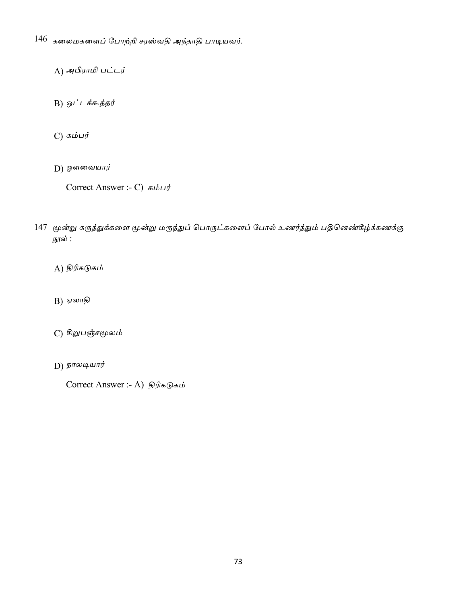- 146 கலைமகளைப் போற்றி சரஸ்வதி அந்தாதி பாடியவர்.
	- A) அபிராமி பட்டர்
	- B) ஒட்டக்கூத்தர்
	- டு கம்பர்
	- $D$ ) ஒளவையார்

Correct Answer :- C) கம்பர்

- 147 மூன்று கருத்துக்களை மூன்று மருந்துப் பொருட்களைப் போல் உணர்த்தும் பதினெண்கீழ்க்கணக்கு நூல் :
	- A) திரிகடுகம்
	- $B)$  ஏலாதி
	- C) சிறுபஞ்சமூலம்
	- **D**)  $b$ *п*ωцшпј

Correct Answer :- A) திரிகடுகம்